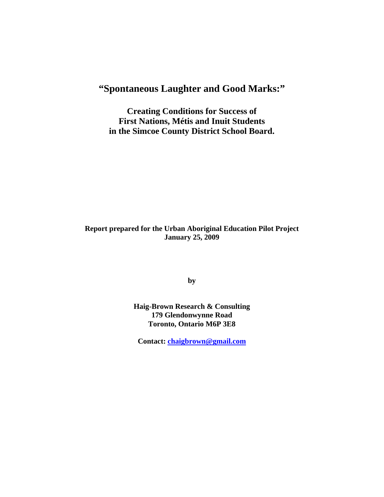# **"Spontaneous Laughter and Good Marks:"**

**Creating Conditions for Success of First Nations, Métis and Inuit Students in the Simcoe County District School Board.** 

# **Report prepared for the Urban Aboriginal Education Pilot Project January 25, 2009**

**by** 

**Haig-Brown Research & Consulting 179 Glendonwynne Road Toronto, Ontario M6P 3E8** 

**Contact: [chaigbrown@gmail.com](mailto:chaigbrown@gmail.com)**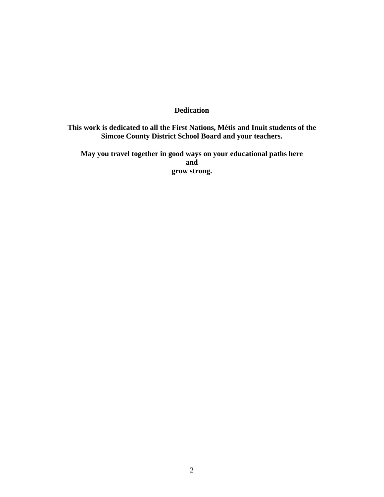# **Dedication**

# **This work is dedicated to all the First Nations, Métis and Inuit students of the Simcoe County District School Board and your teachers.**

**May you travel together in good ways on your educational paths here and grow strong.**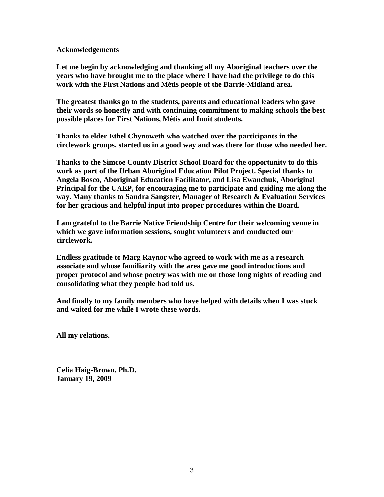#### **Acknowledgements**

**Let me begin by acknowledging and thanking all my Aboriginal teachers over the years who have brought me to the place where I have had the privilege to do this work with the First Nations and Métis people of the Barrie-Midland area.** 

**The greatest thanks go to the students, parents and educational leaders who gave their words so honestly and with continuing commitment to making schools the best possible places for First Nations, Métis and Inuit students.** 

**Thanks to elder Ethel Chynoweth who watched over the participants in the circlework groups, started us in a good way and was there for those who needed her.** 

**Thanks to the Simcoe County District School Board for the opportunity to do this work as part of the Urban Aboriginal Education Pilot Project. Special thanks to Angela Bosco, Aboriginal Education Facilitator, and Lisa Ewanchuk, Aboriginal Principal for the UAEP, for encouraging me to participate and guiding me along the way. Many thanks to Sandra Sangster, Manager of Research & Evaluation Services for her gracious and helpful input into proper procedures within the Board.** 

**I am grateful to the Barrie Native Friendship Centre for their welcoming venue in which we gave information sessions, sought volunteers and conducted our circlework.** 

**Endless gratitude to Marg Raynor who agreed to work with me as a research associate and whose familiarity with the area gave me good introductions and proper protocol and whose poetry was with me on those long nights of reading and consolidating what they people had told us.** 

**And finally to my family members who have helped with details when I was stuck and waited for me while I wrote these words.** 

**All my relations.** 

**Celia Haig-Brown, Ph.D. January 19, 2009**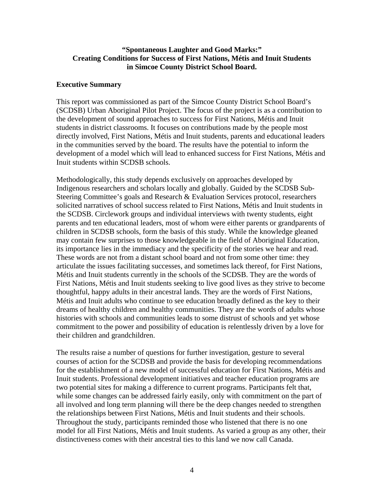## **"Spontaneous Laughter and Good Marks:" Creating Conditions for Success of First Nations, Métis and Inuit Students in Simcoe County District School Board.**

#### **Executive Summary**

This report was commissioned as part of the Simcoe County District School Board's (SCDSB) Urban Aboriginal Pilot Project. The focus of the project is as a contribution to the development of sound approaches to success for First Nations, Métis and Inuit students in district classrooms. It focuses on contributions made by the people most directly involved, First Nations, Métis and Inuit students, parents and educational leaders in the communities served by the board. The results have the potential to inform the development of a model which will lead to enhanced success for First Nations, Métis and Inuit students within SCDSB schools.

Methodologically, this study depends exclusively on approaches developed by Indigenous researchers and scholars locally and globally. Guided by the SCDSB Sub-Steering Committee's goals and Research & Evaluation Services protocol, researchers solicited narratives of school success related to First Nations, Métis and Inuit students in the SCDSB. Circlework groups and individual interviews with twenty students, eight parents and ten educational leaders, most of whom were either parents or grandparents of children in SCDSB schools, form the basis of this study. While the knowledge gleaned may contain few surprises to those knowledgeable in the field of Aboriginal Education, its importance lies in the immediacy and the specificity of the stories we hear and read. These words are not from a distant school board and not from some other time: they articulate the issues facilitating successes, and sometimes lack thereof, for First Nations, Métis and Inuit students currently in the schools of the SCDSB. They are the words of First Nations, Métis and Inuit students seeking to live good lives as they strive to become thoughtful, happy adults in their ancestral lands. They are the words of First Nations, Métis and Inuit adults who continue to see education broadly defined as the key to their dreams of healthy children and healthy communities. They are the words of adults whose histories with schools and communities leads to some distrust of schools and yet whose commitment to the power and possibility of education is relentlessly driven by a love for their children and grandchildren.

The results raise a number of questions for further investigation, gesture to several courses of action for the SCDSB and provide the basis for developing recommendations for the establishment of a new model of successful education for First Nations, Métis and Inuit students. Professional development initiatives and teacher education programs are two potential sites for making a difference to current programs. Participants felt that, while some changes can be addressed fairly easily, only with commitment on the part of all involved and long term planning will there be the deep changes needed to strengthen the relationships between First Nations, Métis and Inuit students and their schools. Throughout the study, participants reminded those who listened that there is no one model for all First Nations, Métis and Inuit students. As varied a group as any other, their distinctiveness comes with their ancestral ties to this land we now call Canada.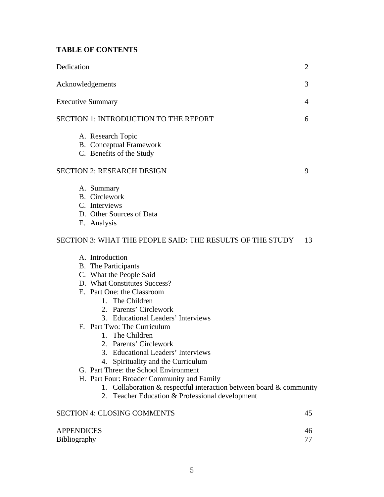# **TABLE OF CONTENTS**

| Dedication                                                                                                                                                                                                                                                                                                                                                                                                                                                                                                                                                                                                | $\overline{2}$ |
|-----------------------------------------------------------------------------------------------------------------------------------------------------------------------------------------------------------------------------------------------------------------------------------------------------------------------------------------------------------------------------------------------------------------------------------------------------------------------------------------------------------------------------------------------------------------------------------------------------------|----------------|
| Acknowledgements                                                                                                                                                                                                                                                                                                                                                                                                                                                                                                                                                                                          | 3              |
| <b>Executive Summary</b>                                                                                                                                                                                                                                                                                                                                                                                                                                                                                                                                                                                  | 4              |
| <b>SECTION 1: INTRODUCTION TO THE REPORT</b>                                                                                                                                                                                                                                                                                                                                                                                                                                                                                                                                                              | 6              |
| A. Research Topic<br><b>B.</b> Conceptual Framework<br>C. Benefits of the Study                                                                                                                                                                                                                                                                                                                                                                                                                                                                                                                           |                |
| <b>SECTION 2: RESEARCH DESIGN</b>                                                                                                                                                                                                                                                                                                                                                                                                                                                                                                                                                                         | 9              |
| A. Summary<br><b>B.</b> Circlework<br>C. Interviews<br>D. Other Sources of Data<br>E. Analysis                                                                                                                                                                                                                                                                                                                                                                                                                                                                                                            |                |
| SECTION 3: WHAT THE PEOPLE SAID: THE RESULTS OF THE STUDY                                                                                                                                                                                                                                                                                                                                                                                                                                                                                                                                                 | 13             |
| A. Introduction<br><b>B.</b> The Participants<br>C. What the People Said<br>D. What Constitutes Success?<br>E. Part One: the Classroom<br>1. The Children<br>2. Parents' Circlework<br>3. Educational Leaders' Interviews<br>F. Part Two: The Curriculum<br>1. The Children<br>2. Parents' Circlework<br>3. Educational Leaders' Interviews<br>Spirituality and the Curriculum<br>4.<br>G. Part Three: the School Environment<br>H. Part Four: Broader Community and Family<br>1. Collaboration $&$ respectful interaction between board $&$ community<br>2. Teacher Education & Professional development |                |
| <b>SECTION 4: CLOSING COMMENTS</b>                                                                                                                                                                                                                                                                                                                                                                                                                                                                                                                                                                        | 45             |
| <b>APPENDICES</b><br><b>Bibliography</b>                                                                                                                                                                                                                                                                                                                                                                                                                                                                                                                                                                  | 46<br>77       |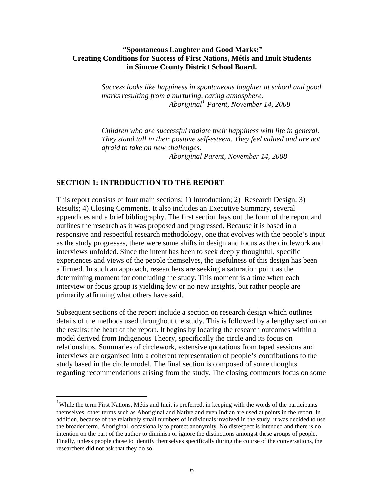## **"Spontaneous Laughter and Good Marks:" Creating Conditions for Success of First Nations, Métis and Inuit Students in Simcoe County District School Board.**

*Success looks like happiness in spontaneous laughter at school and good marks resulting from a nurturing, caring atmosphere. Aboriginal[1](#page-5-0) Parent, November 14, 2008* 

*Children who are successful radiate their happiness with life in general. They stand tall in their positive self-esteem. They feel valued and are not afraid to take on new challenges. Aboriginal Parent, November 14, 2008* 

# **SECTION 1: INTRODUCTION TO THE REPORT**

 $\overline{a}$ 

This report consists of four main sections: 1) Introduction; 2) Research Design; 3) Results; 4) Closing Comments. It also includes an Executive Summary, several appendices and a brief bibliography. The first section lays out the form of the report and outlines the research as it was proposed and progressed. Because it is based in a responsive and respectful research methodology, one that evolves with the people's input as the study progresses, there were some shifts in design and focus as the circlework and interviews unfolded. Since the intent has been to seek deeply thoughtful, specific experiences and views of the people themselves, the usefulness of this design has been affirmed. In such an approach, researchers are seeking a saturation point as the determining moment for concluding the study. This moment is a time when each interview or focus group is yielding few or no new insights, but rather people are primarily affirming what others have said.

Subsequent sections of the report include a section on research design which outlines details of the methods used throughout the study. This is followed by a lengthy section on the results: the heart of the report. It begins by locating the research outcomes within a model derived from Indigenous Theory, specifically the circle and its focus on relationships. Summaries of circlework, extensive quotations from taped sessions and interviews are organised into a coherent representation of people's contributions to the study based in the circle model. The final section is composed of some thoughts regarding recommendations arising from the study. The closing comments focus on some

<span id="page-5-0"></span><sup>&</sup>lt;sup>1</sup>While the term First Nations, Métis and Inuit is preferred, in keeping with the words of the participants themselves, other terms such as Aboriginal and Native and even Indian are used at points in the report. In addition, because of the relatively small numbers of individuals involved in the study, it was decided to use the broader term, Aboriginal, occasionally to protect anonymity. No disrespect is intended and there is no intention on the part of the author to diminish or ignore the distinctions amongst these groups of people. Finally, unless people chose to identify themselves specifically during the course of the conversations, the researchers did not ask that they do so.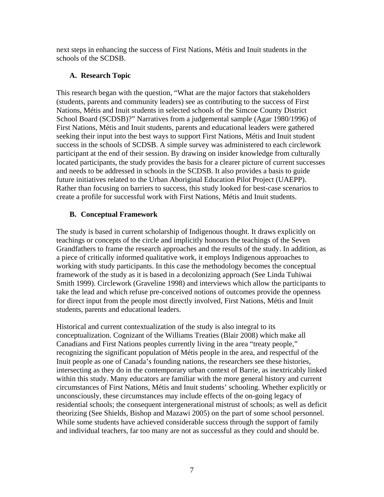next steps in enhancing the success of First Nations, Métis and Inuit students in the schools of the SCDSB.

# **A. Research Topic**

This research began with the question, "What are the major factors that stakeholders (students, parents and community leaders) see as contributing to the success of First Nations, Métis and Inuit students in selected schools of the Simcoe County District School Board (SCDSB)?" Narratives from a judgemental sample (Agar 1980/1996) of First Nations, Métis and Inuit students, parents and educational leaders were gathered seeking their input into the best ways to support First Nations, Métis and Inuit student success in the schools of SCDSB. A simple survey was administered to each circlework participant at the end of their session. By drawing on insider knowledge from culturally located participants, the study provides the basis for a clearer picture of current successes and needs to be addressed in schools in the SCDSB. It also provides a basis to guide future initiatives related to the Urban Aboriginal Education Pilot Project (UAEPP). Rather than focusing on barriers to success, this study looked for best-case scenarios to create a profile for successful work with First Nations, Métis and Inuit students.

# **B. Conceptual Framework**

The study is based in current scholarship of Indigenous thought. It draws explicitly on teachings or concepts of the circle and implicitly honours the teachings of the Seven Grandfathers to frame the research approaches and the results of the study. In addition, as a piece of critically informed qualitative work, it employs Indigenous approaches to working with study participants. In this case the methodology becomes the conceptual framework of the study as it is based in a decolonizing approach (See Linda Tuhiwai Smith 1999). Circlework (Graveline 1998) and interviews which allow the participants to take the lead and which refuse pre-conceived notions of outcomes provide the openness for direct input from the people most directly involved, First Nations, Métis and Inuit students, parents and educational leaders.

Historical and current contextualization of the study is also integral to its conceptualization. Cognizant of the Williams Treaties (Blair 2008) which make all Canadians and First Nations peoples currently living in the area "treaty people," recognizing the significant population of Métis people in the area, and respectful of the Inuit people as one of Canada's founding nations, the researchers see these histories, intersecting as they do in the contemporary urban context of Barrie, as inextricably linked within this study. Many educators are familiar with the more general history and current circumstances of First Nations, Métis and Inuit students' schooling. Whether explicitly or unconsciously, these circumstances may include effects of the on-going legacy of residential schools; the consequent intergenerational mistrust of schools; as well as deficit theorizing (See Shields, Bishop and Mazawi 2005) on the part of some school personnel. While some students have achieved considerable success through the support of family and individual teachers, far too many are not as successful as they could and should be.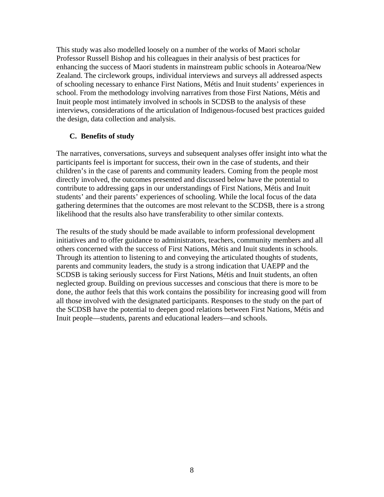This study was also modelled loosely on a number of the works of Maori scholar Professor Russell Bishop and his colleagues in their analysis of best practices for enhancing the success of Maori students in mainstream public schools in Aotearoa/New Zealand. The circlework groups, individual interviews and surveys all addressed aspects of schooling necessary to enhance First Nations, Métis and Inuit students' experiences in school. From the methodology involving narratives from those First Nations, Métis and Inuit people most intimately involved in schools in SCDSB to the analysis of these interviews, considerations of the articulation of Indigenous-focused best practices guided the design, data collection and analysis.

# **C. Benefits of study**

The narratives, conversations, surveys and subsequent analyses offer insight into what the participants feel is important for success, their own in the case of students, and their children's in the case of parents and community leaders. Coming from the people most directly involved, the outcomes presented and discussed below have the potential to contribute to addressing gaps in our understandings of First Nations, Métis and Inuit students' and their parents' experiences of schooling. While the local focus of the data gathering determines that the outcomes are most relevant to the SCDSB, there is a strong likelihood that the results also have transferability to other similar contexts.

The results of the study should be made available to inform professional development initiatives and to offer guidance to administrators, teachers, community members and all others concerned with the success of First Nations, Métis and Inuit students in schools. Through its attention to listening to and conveying the articulated thoughts of students, parents and community leaders, the study is a strong indication that UAEPP and the SCDSB is taking seriously success for First Nations, Métis and Inuit students, an often neglected group. Building on previous successes and conscious that there is more to be done, the author feels that this work contains the possibility for increasing good will from all those involved with the designated participants. Responses to the study on the part of the SCDSB have the potential to deepen good relations between First Nations, Métis and Inuit people—students, parents and educational leaders—and schools.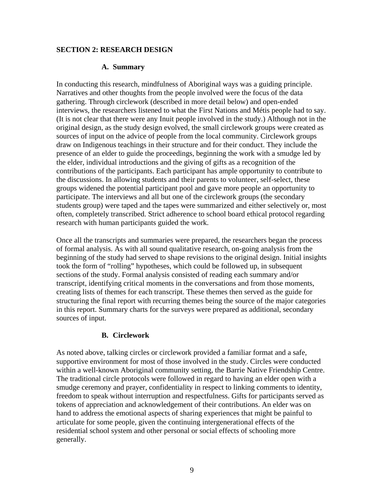## **SECTION 2: RESEARCH DESIGN**

## **A. Summary**

In conducting this research, mindfulness of Aboriginal ways was a guiding principle. Narratives and other thoughts from the people involved were the focus of the data gathering. Through circlework (described in more detail below) and open-ended interviews, the researchers listened to what the First Nations and Métis people had to say. (It is not clear that there were any Inuit people involved in the study.) Although not in the original design, as the study design evolved, the small circlework groups were created as sources of input on the advice of people from the local community. Circlework groups draw on Indigenous teachings in their structure and for their conduct. They include the presence of an elder to guide the proceedings, beginning the work with a smudge led by the elder, individual introductions and the giving of gifts as a recognition of the contributions of the participants. Each participant has ample opportunity to contribute to the discussions. In allowing students and their parents to volunteer, self-select, these groups widened the potential participant pool and gave more people an opportunity to participate. The interviews and all but one of the circlework groups (the secondary students group) were taped and the tapes were summarized and either selectively or, most often, completely transcribed. Strict adherence to school board ethical protocol regarding research with human participants guided the work.

Once all the transcripts and summaries were prepared, the researchers began the process of formal analysis. As with all sound qualitative research, on-going analysis from the beginning of the study had served to shape revisions to the original design. Initial insights took the form of "rolling" hypotheses, which could be followed up, in subsequent sections of the study. Formal analysis consisted of reading each summary and/or transcript, identifying critical moments in the conversations and from those moments, creating lists of themes for each transcript. These themes then served as the guide for structuring the final report with recurring themes being the source of the major categories in this report. Summary charts for the surveys were prepared as additional, secondary sources of input.

# **B. Circlework**

As noted above, talking circles or circlework provided a familiar format and a safe, supportive environment for most of those involved in the study. Circles were conducted within a well-known Aboriginal community setting, the Barrie Native Friendship Centre. The traditional circle protocols were followed in regard to having an elder open with a smudge ceremony and prayer, confidentiality in respect to linking comments to identity, freedom to speak without interruption and respectfulness. Gifts for participants served as tokens of appreciation and acknowledgement of their contributions. An elder was on hand to address the emotional aspects of sharing experiences that might be painful to articulate for some people, given the continuing intergenerational effects of the residential school system and other personal or social effects of schooling more generally.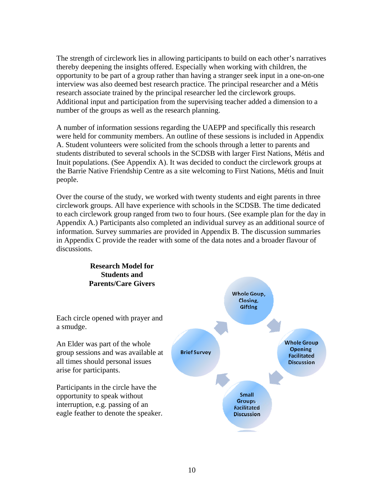The strength of circlework lies in allowing participants to build on each other's narratives thereby deepening the insights offered. Especially when working with children, the opportunity to be part of a group rather than having a stranger seek input in a one-on-one interview was also deemed best research practice. The principal researcher and a Métis research associate trained by the principal researcher led the circlework groups. Additional input and participation from the supervising teacher added a dimension to a number of the groups as well as the research planning.

A number of information sessions regarding the UAEPP and specifically this research were held for community members. An outline of these sessions is included in Appendix A. Student volunteers were solicited from the schools through a letter to parents and students distributed to several schools in the SCDSB with larger First Nations, Métis and Inuit populations. (See Appendix A). It was decided to conduct the circlework groups at the Barrie Native Friendship Centre as a site welcoming to First Nations, Métis and Inuit people.

Over the course of the study, we worked with twenty students and eight parents in three circlework groups. All have experience with schools in the SCDSB. The time dedicated to each circlework group ranged from two to four hours. (See example plan for the day in Appendix A.) Participants also completed an individual survey as an additional source of information. Survey summaries are provided in Appendix B. The discussion summaries in Appendix C provide the reader with some of the data notes and a broader flavour of discussions.

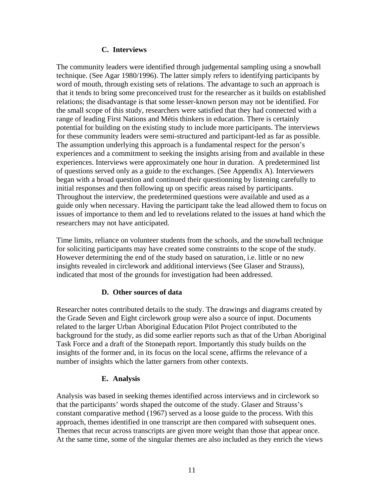## **C. Interviews**

The community leaders were identified through judgemental sampling using a snowball technique. (See Agar 1980/1996). The latter simply refers to identifying participants by word of mouth, through existing sets of relations. The advantage to such an approach is that it tends to bring some preconceived trust for the researcher as it builds on established relations; the disadvantage is that some lesser-known person may not be identified. For the small scope of this study, researchers were satisfied that they had connected with a range of leading First Nations and Métis thinkers in education. There is certainly potential for building on the existing study to include more participants. The interviews for these community leaders were semi-structured and participant-led as far as possible. The assumption underlying this approach is a fundamental respect for the person's experiences and a commitment to seeking the insights arising from and available in these experiences. Interviews were approximately one hour in duration. A predetermined list of questions served only as a guide to the exchanges. (See Appendix A). Interviewers began with a broad question and continued their questionning by listening carefully to initial responses and then following up on specific areas raised by participants. Throughout the interview, the predetermined questions were available and used as a guide only when necessary. Having the participant take the lead allowed them to focus on issues of importance to them and led to revelations related to the issues at hand which the researchers may not have anticipated.

Time limits, reliance on volunteer students from the schools, and the snowball technique for soliciting participants may have created some constraints to the scope of the study. However determining the end of the study based on saturation, i.e. little or no new insights revealed in circlework and additional interviews (See Glaser and Strauss), indicated that most of the grounds for investigation had been addressed.

# **D. Other sources of data**

Researcher notes contributed details to the study. The drawings and diagrams created by the Grade Seven and Eight circlework group were also a source of input. Documents related to the larger Urban Aboriginal Education Pilot Project contributed to the background for the study, as did some earlier reports such as that of the Urban Aboriginal Task Force and a draft of the Stonepath report. Importantly this study builds on the insights of the former and, in its focus on the local scene, affirms the relevance of a number of insights which the latter garners from other contexts.

# **E. Analysis**

Analysis was based in seeking themes identified across interviews and in circlework so that the participants' words shaped the outcome of the study. Glaser and Strauss's constant comparative method (1967) served as a loose guide to the process. With this approach, themes identified in one transcript are then compared with subsequent ones. Themes that recur across transcripts are given more weight than those that appear once. At the same time, some of the singular themes are also included as they enrich the views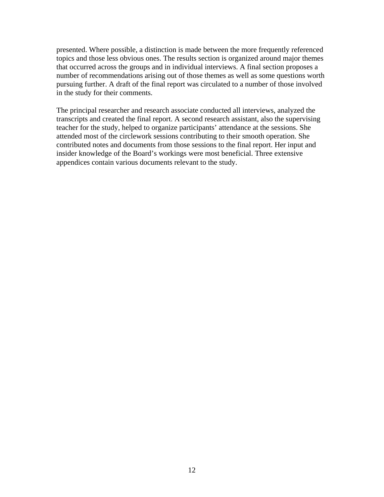presented. Where possible, a distinction is made between the more frequently referenced topics and those less obvious ones. The results section is organized around major themes that occurred across the groups and in individual interviews. A final section proposes a number of recommendations arising out of those themes as well as some questions worth pursuing further. A draft of the final report was circulated to a number of those involved in the study for their comments.

The principal researcher and research associate conducted all interviews, analyzed the transcripts and created the final report. A second research assistant, also the supervising teacher for the study, helped to organize participants' attendance at the sessions. She attended most of the circlework sessions contributing to their smooth operation. She contributed notes and documents from those sessions to the final report. Her input and insider knowledge of the Board's workings were most beneficial. Three extensive appendices contain various documents relevant to the study.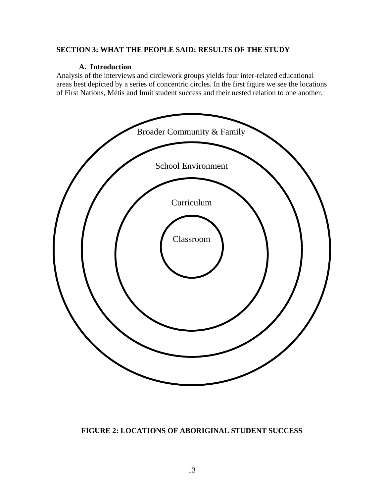## **SECTION 3: WHAT THE PEOPLE SAID: RESULTS OF THE STUDY**

#### **A. Introduction**

Analysis of the interviews and circlework groups yields four inter-related educational areas best depicted by a series of concentric circles. In the first figure we see the locations of First Nations, Métis and Inuit student success and their nested relation to one another.



#### **FIGURE 2: LOCATIONS OF ABORIGINAL STUDENT SUCCESS**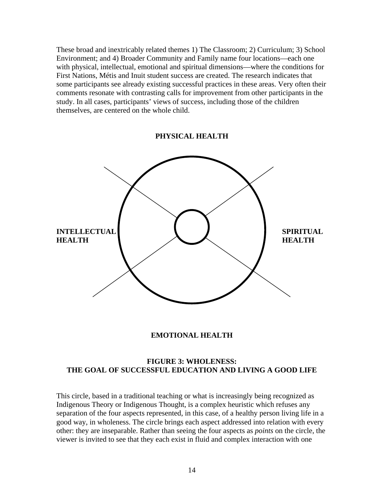These broad and inextricably related themes 1) The Classroom; 2) Curriculum; 3) School Environment; and 4) Broader Community and Family name four locations—each one with physical, intellectual, emotional and spiritual dimensions—where the conditions for First Nations, Métis and Inuit student success are created. The research indicates that some participants see already existing successful practices in these areas. Very often their comments resonate with contrasting calls for improvement from other participants in the study. In all cases, participants' views of success, including those of the children themselves, are centered on the whole child.

**PHYSICAL HEALTH** 



#### **EMOTIONAL HEALTH**

#### **FIGURE 3: WHOLENESS: THE GOAL OF SUCCESSFUL EDUCATION AND LIVING A GOOD LIFE**

This circle, based in a traditional teaching or what is increasingly being recognized as Indigenous Theory or Indigenous Thought, is a complex heuristic which refuses any separation of the four aspects represented, in this case, of a healthy person living life in a good way, in wholeness. The circle brings each aspect addressed into relation with every other: they are inseparable. Rather than seeing the four aspects as *points* on the circle, the viewer is invited to see that they each exist in fluid and complex interaction with one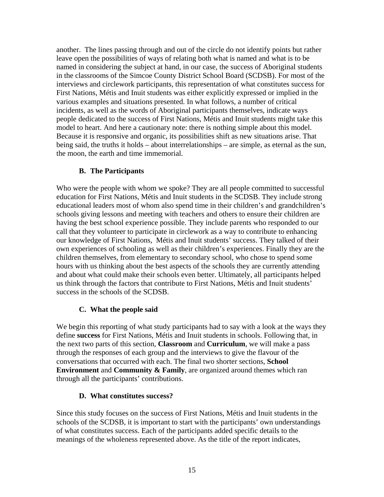another. The lines passing through and out of the circle do not identify points but rather leave open the possibilities of ways of relating both what is named and what is to be named in considering the subject at hand, in our case, the success of Aboriginal students in the classrooms of the Simcoe County District School Board (SCDSB). For most of the interviews and circlework participants, this representation of what constitutes success for First Nations, Métis and Inuit students was either explicitly expressed or implied in the various examples and situations presented. In what follows, a number of critical incidents, as well as the words of Aboriginal participants themselves, indicate ways people dedicated to the success of First Nations, Métis and Inuit students might take this model to heart. And here a cautionary note: there is nothing simple about this model. Because it is responsive and organic, its possibilities shift as new situations arise. That being said, the truths it holds – about interrelationships – are simple, as eternal as the sun, the moon, the earth and time immemorial.

# **B. The Participants**

Who were the people with whom we spoke? They are all people committed to successful education for First Nations, Métis and Inuit students in the SCDSB. They include strong educational leaders most of whom also spend time in their children's and grandchildren's schools giving lessons and meeting with teachers and others to ensure their children are having the best school experience possible. They include parents who responded to our call that they volunteer to participate in circlework as a way to contribute to enhancing our knowledge of First Nations, Métis and Inuit students' success. They talked of their own experiences of schooling as well as their children's experiences. Finally they are the children themselves, from elementary to secondary school, who chose to spend some hours with us thinking about the best aspects of the schools they are currently attending and about what could make their schools even better. Ultimately, all participants helped us think through the factors that contribute to First Nations, Métis and Inuit students' success in the schools of the SCDSB.

# **C. What the people said**

We begin this reporting of what study participants had to say with a look at the ways they define **success** for First Nations, Métis and Inuit students in schools. Following that, in the next two parts of this section, **Classroom** and **Curriculum**, we will make a pass through the responses of each group and the interviews to give the flavour of the conversations that occurred with each. The final two shorter sections, **School Environment** and **Community & Family**, are organized around themes which ran through all the participants' contributions.

# **D. What constitutes success?**

Since this study focuses on the success of First Nations, Métis and Inuit students in the schools of the SCDSB, it is important to start with the participants' own understandings of what constitutes success. Each of the participants added specific details to the meanings of the wholeness represented above. As the title of the report indicates,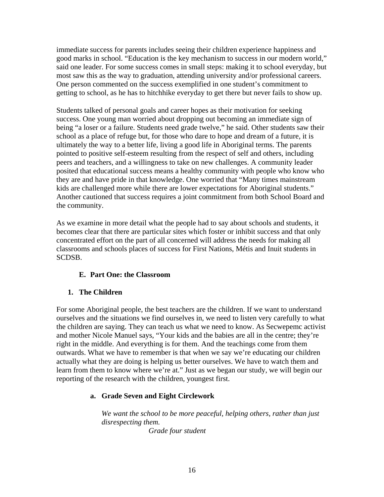immediate success for parents includes seeing their children experience happiness and good marks in school. "Education is the key mechanism to success in our modern world," said one leader. For some success comes in small steps: making it to school everyday, but most saw this as the way to graduation, attending university and/or professional careers. One person commented on the success exemplified in one student's commitment to getting to school, as he has to hitchhike everyday to get there but never fails to show up.

Students talked of personal goals and career hopes as their motivation for seeking success. One young man worried about dropping out becoming an immediate sign of being "a loser or a failure. Students need grade twelve," he said. Other students saw their school as a place of refuge but, for those who dare to hope and dream of a future, it is ultimately the way to a better life, living a good life in Aboriginal terms. The parents pointed to positive self-esteem resulting from the respect of self and others, including peers and teachers, and a willingness to take on new challenges. A community leader posited that educational success means a healthy community with people who know who they are and have pride in that knowledge. One worried that "Many times mainstream kids are challenged more while there are lower expectations for Aboriginal students." Another cautioned that success requires a joint commitment from both School Board and the community.

As we examine in more detail what the people had to say about schools and students, it becomes clear that there are particular sites which foster or inhibit success and that only concentrated effort on the part of all concerned will address the needs for making all classrooms and schools places of success for First Nations, Métis and Inuit students in SCDSB.

# **E. Part One: the Classroom**

# **1. The Children**

For some Aboriginal people, the best teachers are the children. If we want to understand ourselves and the situations we find ourselves in, we need to listen very carefully to what the children are saying. They can teach us what we need to know. As Secwepemc activist and mother Nicole Manuel says, "Your kids and the babies are all in the centre; they're right in the middle. And everything is for them. And the teachings come from them outwards. What we have to remember is that when we say we're educating our children actually what they are doing is helping us better ourselves. We have to watch them and learn from them to know where we're at." Just as we began our study, we will begin our reporting of the research with the children, youngest first.

# **a. Grade Seven and Eight Circlework**

*We want the school to be more peaceful, helping others, rather than just disrespecting them. Grade four student*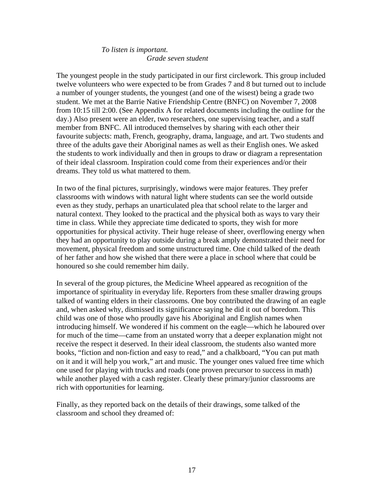# *To listen is important. Grade seven student*

The youngest people in the study participated in our first circlework. This group included twelve volunteers who were expected to be from Grades 7 and 8 but turned out to include a number of younger students, the youngest (and one of the wisest) being a grade two student. We met at the Barrie Native Friendship Centre (BNFC) on November 7, 2008 from 10:15 till 2:00. (See Appendix A for related documents including the outline for the day.) Also present were an elder, two researchers, one supervising teacher, and a staff member from BNFC. All introduced themselves by sharing with each other their favourite subjects: math, French, geography, drama, language, and art. Two students and three of the adults gave their Aboriginal names as well as their English ones. We asked the students to work individually and then in groups to draw or diagram a representation of their ideal classroom. Inspiration could come from their experiences and/or their dreams. They told us what mattered to them.

In two of the final pictures, surprisingly, windows were major features. They prefer classrooms with windows with natural light where students can see the world outside even as they study, perhaps an unarticulated plea that school relate to the larger and natural context. They looked to the practical and the physical both as ways to vary their time in class. While they appreciate time dedicated to sports, they wish for more opportunities for physical activity. Their huge release of sheer, overflowing energy when they had an opportunity to play outside during a break amply demonstrated their need for movement, physical freedom and some unstructured time. One child talked of the death of her father and how she wished that there were a place in school where that could be honoured so she could remember him daily.

In several of the group pictures, the Medicine Wheel appeared as recognition of the importance of spirituality in everyday life. Reporters from these smaller drawing groups talked of wanting elders in their classrooms. One boy contributed the drawing of an eagle and, when asked why, dismissed its significance saying he did it out of boredom. This child was one of those who proudly gave his Aboriginal and English names when introducing himself. We wondered if his comment on the eagle—which he laboured over for much of the time—came from an unstated worry that a deeper explanation might not receive the respect it deserved. In their ideal classroom, the students also wanted more books, "fiction and non-fiction and easy to read," and a chalkboard, "You can put math on it and it will help you work," art and music. The younger ones valued free time which one used for playing with trucks and roads (one proven precursor to success in math) while another played with a cash register. Clearly these primary/junior classrooms are rich with opportunities for learning.

Finally, as they reported back on the details of their drawings, some talked of the classroom and school they dreamed of: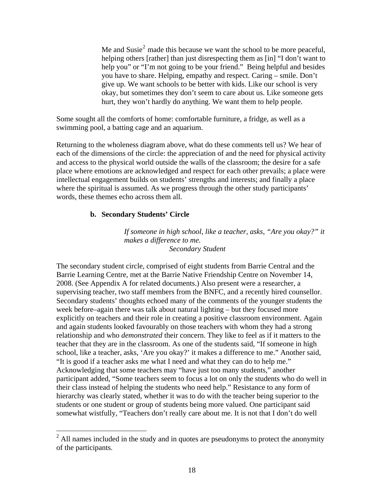Me and Susie<sup>[2](#page-17-0)</sup> made this because we want the school to be more peaceful, helping others [rather] than just disrespecting them as [in] "I don't want to help you" or "I'm not going to be your friend." Being helpful and besides you have to share. Helping, empathy and respect. Caring – smile. Don't give up. We want schools to be better with kids. Like our school is very okay, but sometimes they don't seem to care about us. Like someone gets hurt, they won't hardly do anything. We want them to help people.

Some sought all the comforts of home: comfortable furniture, a fridge, as well as a swimming pool, a batting cage and an aquarium.

Returning to the wholeness diagram above, what do these comments tell us? We hear of each of the dimensions of the circle: the appreciation of and the need for physical activity and access to the physical world outside the walls of the classroom; the desire for a safe place where emotions are acknowledged and respect for each other prevails; a place were intellectual engagement builds on students' strengths and interests; and finally a place where the spiritual is assumed. As we progress through the other study participants' words, these themes echo across them all.

## **b. Secondary Students' Circle**

 $\overline{a}$ 

*If someone in high school, like a teacher, asks, "Are you okay?" it makes a difference to me. Secondary Student* 

The secondary student circle, comprised of eight students from Barrie Central and the Barrie Learning Centre, met at the Barrie Native Friendship Centre on November 14, 2008. (See Appendix A for related documents.) Also present were a researcher, a supervising teacher, two staff members from the BNFC, and a recently hired counsellor. Secondary students' thoughts echoed many of the comments of the younger students the week before–again there was talk about natural lighting – but they focused more explicitly on teachers and their role in creating a positive classroom environment. Again and again students looked favourably on those teachers with whom they had a strong relationship and who *demonstrated* their concern. They like to feel as if it matters to the teacher that they are in the classroom. As one of the students said, "If someone in high school, like a teacher, asks, 'Are you okay?' it makes a difference to me." Another said, "It is good if a teacher asks me what I need and what they can do to help me." Acknowledging that some teachers may "have just too many students," another participant added, "Some teachers seem to focus a lot on only the students who do well in their class instead of helping the students who need help." Resistance to any form of hierarchy was clearly stated, whether it was to do with the teacher being superior to the students or one student or group of students being more valued. One participant said somewhat wistfully, "Teachers don't really care about me. It is not that I don't do well

<span id="page-17-0"></span> $2$  All names included in the study and in quotes are pseudonyms to protect the anonymity of the participants.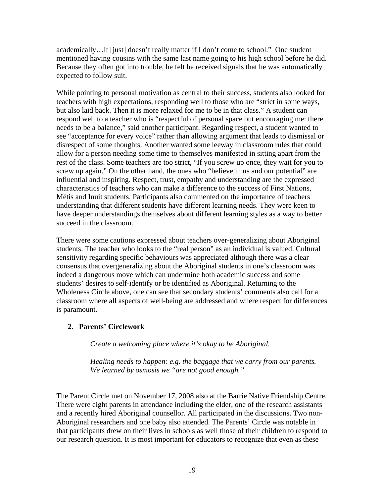academically…It [just] doesn't really matter if I don't come to school." One student mentioned having cousins with the same last name going to his high school before he did. Because they often got into trouble, he felt he received signals that he was automatically expected to follow suit.

While pointing to personal motivation as central to their success, students also looked for teachers with high expectations, responding well to those who are "strict in some ways, but also laid back. Then it is more relaxed for me to be in that class." A student can respond well to a teacher who is "respectful of personal space but encouraging me: there needs to be a balance," said another participant. Regarding respect, a student wanted to see "acceptance for every voice" rather than allowing argument that leads to dismissal or disrespect of some thoughts. Another wanted some leeway in classroom rules that could allow for a person needing some time to themselves manifested in sitting apart from the rest of the class. Some teachers are too strict, "If you screw up once, they wait for you to screw up again." On the other hand, the ones who "believe in us and our potential" are influential and inspiring. Respect, trust, empathy and understanding are the expressed characteristics of teachers who can make a difference to the success of First Nations, Métis and Inuit students. Participants also commented on the importance of teachers understanding that different students have different learning needs. They were keen to have deeper understandings themselves about different learning styles as a way to better succeed in the classroom.

There were some cautions expressed about teachers over-generalizing about Aboriginal students. The teacher who looks to the "real person" as an individual is valued. Cultural sensitivity regarding specific behaviours was appreciated although there was a clear consensus that overgeneralizing about the Aboriginal students in one's classroom was indeed a dangerous move which can undermine both academic success and some students' desires to self-identify or be identified as Aboriginal. Returning to the Wholeness Circle above, one can see that secondary students' comments also call for a classroom where all aspects of well-being are addressed and where respect for differences is paramount.

# **2. Parents' Circlework**

*Create a welcoming place where it's okay to be Aboriginal.* 

*Healing needs to happen: e.g. the baggage that we carry from our parents. We learned by osmosis we "are not good enough."* 

The Parent Circle met on November 17, 2008 also at the Barrie Native Friendship Centre. There were eight parents in attendance including the elder, one of the research assistants and a recently hired Aboriginal counsellor. All participated in the discussions. Two non-Aboriginal researchers and one baby also attended. The Parents' Circle was notable in that participants drew on their lives in schools as well those of their children to respond to our research question. It is most important for educators to recognize that even as these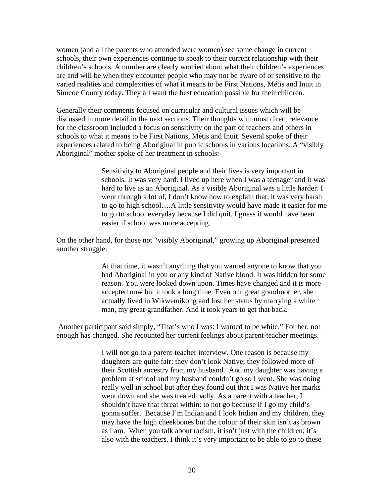women (and all the parents who attended were women) see some change in current schools, their own experiences continue to speak to their current relationship with their children's schools. A number are clearly worried about what their children's experiences are and will be when they encounter people who may not be aware of or sensitive to the varied realities and complexities of what it means to be First Nations, Métis and Inuit in Simcoe County today. They all want the best education possible for their children.

Generally their comments focused on curricular and cultural issues which will be discussed in more detail in the next sections. Their thoughts with most direct relevance for the classroom included a focus on sensitivity on the part of teachers and others in schools to what it means to be First Nations, Métis and Inuit. Several spoke of their experiences related to being Aboriginal in public schools in various locations. A "visibly Aboriginal" mother spoke of her treatment in schools:

> Sensitivity to Aboriginal people and their lives is very important in schools. It was very hard. I lived up here when I was a teenager and it was hard to live as an Aboriginal. As a visible Aboriginal was a little harder. I went through a lot of, I don't know how to explain that, it was very harsh to go to high school….A little sensitivity would have made it easier for me to go to school everyday because I did quit. I guess it would have been easier if school was more accepting.

On the other hand, for those not "visibly Aboriginal," growing up Aboriginal presented another struggle:

> At that time, it wasn't anything that you wanted anyone to know that you had Aboriginal in you or any kind of Native blood. It was hidden for some reason. You were looked down upon. Times have changed and it is more accepted now but it took a long time. Even our great grandmother, she actually lived in Wikwemikong and lost her status by marrying a white man, my great-grandfather. And it took years to get that back.

 Another participant said simply, "That's who I was: I wanted to be white." For her, not enough has changed. She recounted her current feelings about parent-teacher meetings.

> I will not go to a parent-teacher interview. One reason is because my daughters are quite fair; they don't look Native; they followed more of their Scottish ancestry from my husband. And my daughter was having a problem at school and my husband couldn't go so I went. She was doing really well in school but after they found out that I was Native her marks went down and she was treated badly. As a parent with a teacher, I shouldn't have that threat within: to not go because if I go my child's gonna suffer. Because I'm Indian and I look Indian and my children, they may have the high cheekbones but the colour of their skin isn't as brown as I am. When you talk about racism, it isn't just with the children; it's also with the teachers. I think it's very important to be able to go to these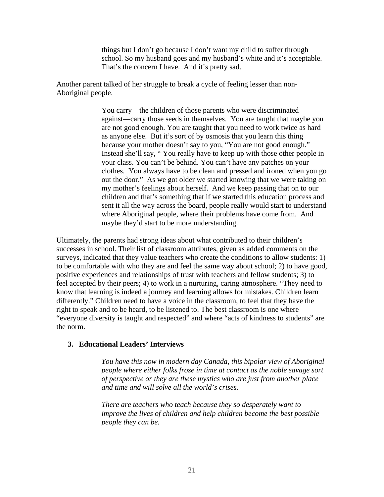things but I don't go because I don't want my child to suffer through school. So my husband goes and my husband's white and it's acceptable. That's the concern I have. And it's pretty sad.

Another parent talked of her struggle to break a cycle of feeling lesser than non-Aboriginal people.

> You carry—the children of those parents who were discriminated against—carry those seeds in themselves. You are taught that maybe you are not good enough. You are taught that you need to work twice as hard as anyone else. But it's sort of by osmosis that you learn this thing because your mother doesn't say to you, "You are not good enough." Instead she'll say, " You really have to keep up with those other people in your class. You can't be behind. You can't have any patches on your clothes. You always have to be clean and pressed and ironed when you go out the door." As we got older we started knowing that we were taking on my mother's feelings about herself. And we keep passing that on to our children and that's something that if we started this education process and sent it all the way across the board, people really would start to understand where Aboriginal people, where their problems have come from. And maybe they'd start to be more understanding.

Ultimately, the parents had strong ideas about what contributed to their children's successes in school. Their list of classroom attributes, given as added comments on the surveys, indicated that they value teachers who create the conditions to allow students: 1) to be comfortable with who they are and feel the same way about school; 2) to have good, positive experiences and relationships of trust with teachers and fellow students; 3) to feel accepted by their peers; 4) to work in a nurturing, caring atmosphere. "They need to know that learning is indeed a journey and learning allows for mistakes. Children learn differently." Children need to have a voice in the classroom, to feel that they have the right to speak and to be heard, to be listened to. The best classroom is one where "everyone diversity is taught and respected" and where "acts of kindness to students" are the norm.

#### **3. Educational Leaders' Interviews**

*You have this now in modern day Canada, this bipolar view of Aboriginal people where either folks froze in time at contact as the noble savage sort of perspective or they are these mystics who are just from another place and time and will solve all the world's crises.* 

*There are teachers who teach because they so desperately want to improve the lives of children and help children become the best possible people they can be.*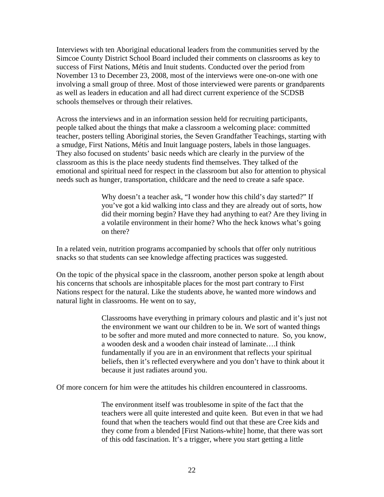Interviews with ten Aboriginal educational leaders from the communities served by the Simcoe County District School Board included their comments on classrooms as key to success of First Nations, Métis and Inuit students. Conducted over the period from November 13 to December 23, 2008, most of the interviews were one-on-one with one involving a small group of three. Most of those interviewed were parents or grandparents as well as leaders in education and all had direct current experience of the SCDSB schools themselves or through their relatives.

Across the interviews and in an information session held for recruiting participants, people talked about the things that make a classroom a welcoming place: committed teacher, posters telling Aboriginal stories, the Seven Grandfather Teachings, starting with a smudge, First Nations, Métis and Inuit language posters, labels in those languages. They also focused on students' basic needs which are clearly in the purview of the classroom as this is the place needy students find themselves. They talked of the emotional and spiritual need for respect in the classroom but also for attention to physical needs such as hunger, transportation, childcare and the need to create a safe space.

> Why doesn't a teacher ask, "I wonder how this child's day started?" If you've got a kid walking into class and they are already out of sorts, how did their morning begin? Have they had anything to eat? Are they living in a volatile environment in their home? Who the heck knows what's going on there?

In a related vein, nutrition programs accompanied by schools that offer only nutritious snacks so that students can see knowledge affecting practices was suggested.

On the topic of the physical space in the classroom, another person spoke at length about his concerns that schools are inhospitable places for the most part contrary to First Nations respect for the natural. Like the students above, he wanted more windows and natural light in classrooms. He went on to say,

> Classrooms have everything in primary colours and plastic and it's just not the environment we want our children to be in. We sort of wanted things to be softer and more muted and more connected to nature. So, you know, a wooden desk and a wooden chair instead of laminate….I think fundamentally if you are in an environment that reflects your spiritual beliefs, then it's reflected everywhere and you don't have to think about it because it just radiates around you.

Of more concern for him were the attitudes his children encountered in classrooms.

The environment itself was troublesome in spite of the fact that the teachers were all quite interested and quite keen. But even in that we had found that when the teachers would find out that these are Cree kids and they come from a blended [First Nations-white] home, that there was sort of this odd fascination. It's a trigger, where you start getting a little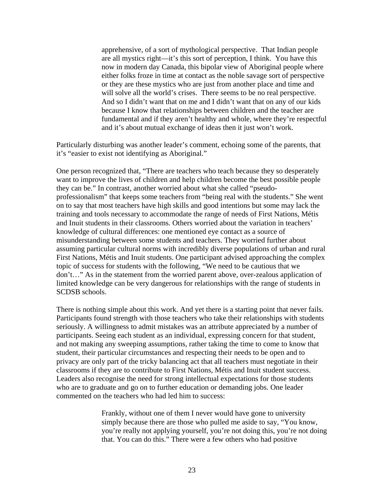apprehensive, of a sort of mythological perspective. That Indian people are all mystics right—it's this sort of perception, I think. You have this now in modern day Canada, this bipolar view of Aboriginal people where either folks froze in time at contact as the noble savage sort of perspective or they are these mystics who are just from another place and time and will solve all the world's crises. There seems to be no real perspective. And so I didn't want that on me and I didn't want that on any of our kids because I know that relationships between children and the teacher are fundamental and if they aren't healthy and whole, where they're respectful and it's about mutual exchange of ideas then it just won't work.

Particularly disturbing was another leader's comment, echoing some of the parents, that it's "easier to exist not identifying as Aboriginal."

One person recognized that, "There are teachers who teach because they so desperately want to improve the lives of children and help children become the best possible people they can be." In contrast, another worried about what she called "pseudoprofessionalism" that keeps some teachers from "being real with the students." She went on to say that most teachers have high skills and good intentions but some may lack the training and tools necessary to accommodate the range of needs of First Nations, Métis and Inuit students in their classrooms. Others worried about the variation in teachers' knowledge of cultural differences: one mentioned eye contact as a source of misunderstanding between some students and teachers. They worried further about assuming particular cultural norms with incredibly diverse populations of urban and rural First Nations, Métis and Inuit students. One participant advised approaching the complex topic of success for students with the following, "We need to be cautious that we don't…" As in the statement from the worried parent above, over-zealous application of limited knowledge can be very dangerous for relationships with the range of students in SCDSB schools.

There is nothing simple about this work. And yet there is a starting point that never fails. Participants found strength with those teachers who take their relationships with students seriously. A willingness to admit mistakes was an attribute appreciated by a number of participants. Seeing each student as an individual, expressing concern for that student, and not making any sweeping assumptions, rather taking the time to come to know that student, their particular circumstances and respecting their needs to be open and to privacy are only part of the tricky balancing act that all teachers must negotiate in their classrooms if they are to contribute to First Nations, Métis and Inuit student success. Leaders also recognise the need for strong intellectual expectations for those students who are to graduate and go on to further education or demanding jobs. One leader commented on the teachers who had led him to success:

> Frankly, without one of them I never would have gone to university simply because there are those who pulled me aside to say, "You know, you're really not applying yourself, you're not doing this, you're not doing that. You can do this." There were a few others who had positive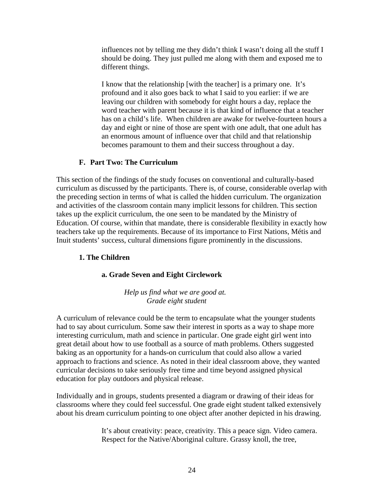influences not by telling me they didn't think I wasn't doing all the stuff I should be doing. They just pulled me along with them and exposed me to different things.

I know that the relationship [with the teacher] is a primary one. It's profound and it also goes back to what I said to you earlier: if we are leaving our children with somebody for eight hours a day, replace the word teacher with parent because it is that kind of influence that a teacher has on a child's life. When children are awake for twelve-fourteen hours a day and eight or nine of those are spent with one adult, that one adult has an enormous amount of influence over that child and that relationship becomes paramount to them and their success throughout a day.

# **F. Part Two: The Curriculum**

This section of the findings of the study focuses on conventional and culturally-based curriculum as discussed by the participants. There is, of course, considerable overlap with the preceding section in terms of what is called the hidden curriculum. The organization and activities of the classroom contain many implicit lessons for children. This section takes up the explicit curriculum, the one seen to be mandated by the Ministry of Education. Of course, within that mandate, there is considerable flexibility in exactly how teachers take up the requirements. Because of its importance to First Nations, Métis and Inuit students' success, cultural dimensions figure prominently in the discussions.

# **1. The Children**

# **a. Grade Seven and Eight Circlework**

*Help us find what we are good at. Grade eight student* 

A curriculum of relevance could be the term to encapsulate what the younger students had to say about curriculum. Some saw their interest in sports as a way to shape more interesting curriculum, math and science in particular. One grade eight girl went into great detail about how to use football as a source of math problems. Others suggested baking as an opportunity for a hands-on curriculum that could also allow a varied approach to fractions and science. As noted in their ideal classroom above, they wanted curricular decisions to take seriously free time and time beyond assigned physical education for play outdoors and physical release.

Individually and in groups, students presented a diagram or drawing of their ideas for classrooms where they could feel successful. One grade eight student talked extensively about his dream curriculum pointing to one object after another depicted in his drawing.

> It's about creativity: peace, creativity. This a peace sign. Video camera. Respect for the Native/Aboriginal culture. Grassy knoll, the tree,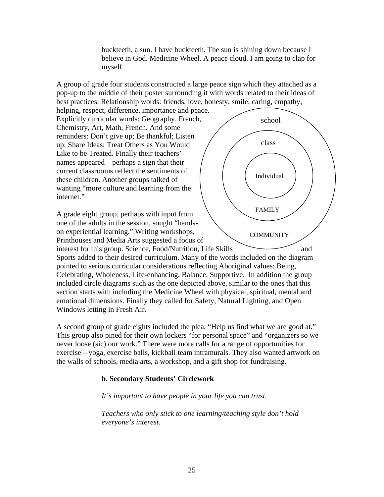buckteeth, a sun. I have buckteeth. The sun is shining down because I believe in God. Medicine Wheel. A peace cloud. I am going to clap for myself.

school

class

FAMILY

**COMMUNITY** 

Individual

A group of grade four students constructed a large peace sign which they attached as a pop-up to the middle of their poster surrounding it with words related to their ideas of best practices. Relationship words: friends, love, honesty, smile, caring, empathy,

helping, respect, difference, importance and peace. Explicitly curricular words: Geography, French, Chemistry, Art, Math, French. And some reminders: Don't give up; Be thankful; Listen up; Share Ideas; Treat Others as You Would Like to be Treated. Finally their teachers' names appeared – perhaps a sign that their current classrooms reflect the sentiments of these children. Another groups talked of wanting "more culture and learning from the internet."

A grade eight group, perhaps with input from one of the adults in the session, sought "handson experiential learning." Writing workshops, Printhouses and Media Arts suggested a focus of

interest for this group. Science, Food/Nutrition, Life Skills and Sports added to their desired curriculum. Many of the words included on the diagram pointed to serious curricular considerations reflecting Aboriginal values: Being, Celebrating, Wholeness, Life-enhancing, Balance, Supportive. In addition the group included circle diagrams such as the one depicted above, similar to the ones that this

section starts with including the Medicine Wheel with physical, spiritual, mental and emotional dimensions. Finally they called for Safety, Natural Lighting, and Open Windows letting in Fresh Air.

A second group of grade eights included the plea, "Help us find what we are good at." This group also pined for their own lockers "for personal space" and "organizers so we never loose (sic) our work." There were more calls for a range of opportunities for exercise – yoga, exercise balls, kickball team intramurals. They also wanted artwork on the walls of schools, media arts, a workshop, and a gift shop for fundraising.

# **b. Secondary Students' Circlework**

*It's important to have people in your life you can trust.* 

*Teachers who only stick to one learning/teaching style don't hold everyone's interest.*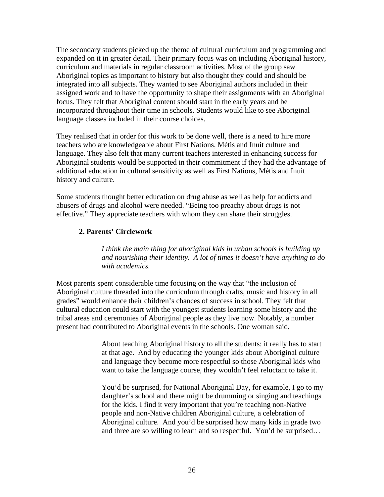The secondary students picked up the theme of cultural curriculum and programming and expanded on it in greater detail. Their primary focus was on including Aboriginal history, curriculum and materials in regular classroom activities. Most of the group saw Aboriginal topics as important to history but also thought they could and should be integrated into all subjects. They wanted to see Aboriginal authors included in their assigned work and to have the opportunity to shape their assignments with an Aboriginal focus. They felt that Aboriginal content should start in the early years and be incorporated throughout their time in schools. Students would like to see Aboriginal language classes included in their course choices.

They realised that in order for this work to be done well, there is a need to hire more teachers who are knowledgeable about First Nations, Métis and Inuit culture and language. They also felt that many current teachers interested in enhancing success for Aboriginal students would be supported in their commitment if they had the advantage of additional education in cultural sensitivity as well as First Nations, Métis and Inuit history and culture.

Some students thought better education on drug abuse as well as help for addicts and abusers of drugs and alcohol were needed. "Being too preachy about drugs is not effective." They appreciate teachers with whom they can share their struggles.

# **2. Parents' Circlework**

*I think the main thing for aboriginal kids in urban schools is building up and nourishing their identity. A lot of times it doesn't have anything to do with academics.* 

Most parents spent considerable time focusing on the way that "the inclusion of Aboriginal culture threaded into the curriculum through crafts, music and history in all grades" would enhance their children's chances of success in school. They felt that cultural education could start with the youngest students learning some history and the tribal areas and ceremonies of Aboriginal people as they live now. Notably, a number present had contributed to Aboriginal events in the schools. One woman said,

> About teaching Aboriginal history to all the students: it really has to start at that age. And by educating the younger kids about Aboriginal culture and language they become more respectful so those Aboriginal kids who want to take the language course, they wouldn't feel reluctant to take it.

> You'd be surprised, for National Aboriginal Day, for example, I go to my daughter's school and there might be drumming or singing and teachings for the kids. I find it very important that you're teaching non-Native people and non-Native children Aboriginal culture, a celebration of Aboriginal culture. And you'd be surprised how many kids in grade two and three are so willing to learn and so respectful. You'd be surprised…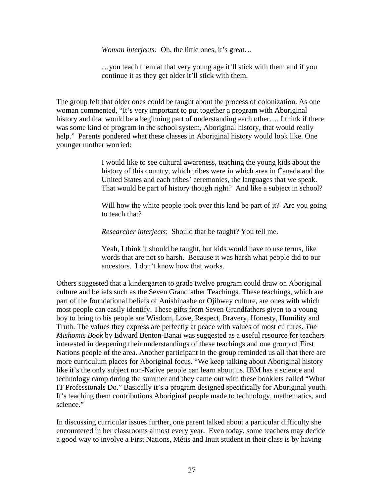*Woman interjects:* Oh, the little ones, it's great…

…you teach them at that very young age it'll stick with them and if you continue it as they get older it'll stick with them.

The group felt that older ones could be taught about the process of colonization. As one woman commented, "It's very important to put together a program with Aboriginal history and that would be a beginning part of understanding each other.... I think if there was some kind of program in the school system, Aboriginal history, that would really help." Parents pondered what these classes in Aboriginal history would look like. One younger mother worried:

> I would like to see cultural awareness, teaching the young kids about the history of this country, which tribes were in which area in Canada and the United States and each tribes' ceremonies, the languages that we speak. That would be part of history though right? And like a subject in school?

Will how the white people took over this land be part of it? Are you going to teach that?

*Researcher interjects*: Should that be taught? You tell me.

Yeah, I think it should be taught, but kids would have to use terms, like words that are not so harsh. Because it was harsh what people did to our ancestors. I don't know how that works.

Others suggested that a kindergarten to grade twelve program could draw on Aboriginal culture and beliefs such as the Seven Grandfather Teachings. These teachings, which are part of the foundational beliefs of Anishinaabe or Ojibway culture, are ones with which most people can easily identify. These gifts from Seven Grandfathers given to a young boy to bring to his people are Wisdom, Love, Respect, Bravery, Honesty, Humility and Truth. The values they express are perfectly at peace with values of most cultures. *The Mishomis Book* by Edward Benton-Banai was suggested as a useful resource for teachers interested in deepening their understandings of these teachings and one group of First Nations people of the area. Another participant in the group reminded us all that there are more curriculum places for Aboriginal focus. "We keep talking about Aboriginal history like it's the only subject non-Native people can learn about us. IBM has a science and technology camp during the summer and they came out with these booklets called "What IT Professionals Do." Basically it's a program designed specifically for Aboriginal youth. It's teaching them contributions Aboriginal people made to technology, mathematics, and science."

In discussing curricular issues further, one parent talked about a particular difficulty she encountered in her classrooms almost every year. Even today, some teachers may decide a good way to involve a First Nations, Métis and Inuit student in their class is by having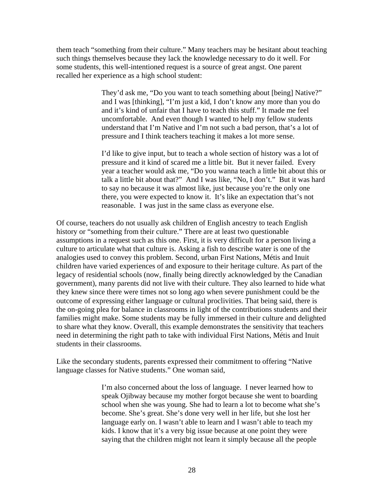them teach "something from their culture." Many teachers may be hesitant about teaching such things themselves because they lack the knowledge necessary to do it well. For some students, this well-intentioned request is a source of great angst. One parent recalled her experience as a high school student:

> They'd ask me, "Do you want to teach something about [being] Native?" and I was [thinking], "I'm just a kid, I don't know any more than you do and it's kind of unfair that I have to teach this stuff." It made me feel uncomfortable. And even though I wanted to help my fellow students understand that I'm Native and I'm not such a bad person, that's a lot of pressure and I think teachers teaching it makes a lot more sense.

I'd like to give input, but to teach a whole section of history was a lot of pressure and it kind of scared me a little bit. But it never failed. Every year a teacher would ask me, "Do you wanna teach a little bit about this or talk a little bit about that?" And I was like, "No, I don't." But it was hard to say no because it was almost like, just because you're the only one there, you were expected to know it. It's like an expectation that's not reasonable. I was just in the same class as everyone else.

Of course, teachers do not usually ask children of English ancestry to teach English history or "something from their culture." There are at least two questionable assumptions in a request such as this one. First, it is very difficult for a person living a culture to articulate what that culture is. Asking a fish to describe water is one of the analogies used to convey this problem. Second, urban First Nations, Métis and Inuit children have varied experiences of and exposure to their heritage culture. As part of the legacy of residential schools (now, finally being directly acknowledged by the Canadian government), many parents did not live with their culture. They also learned to hide what they knew since there were times not so long ago when severe punishment could be the outcome of expressing either language or cultural proclivities. That being said, there is the on-going plea for balance in classrooms in light of the contributions students and their families might make. Some students may be fully immersed in their culture and delighted to share what they know. Overall, this example demonstrates the sensitivity that teachers need in determining the right path to take with individual First Nations, Métis and Inuit students in their classrooms.

Like the secondary students, parents expressed their commitment to offering "Native language classes for Native students." One woman said,

> I'm also concerned about the loss of language. I never learned how to speak Ojibway because my mother forgot because she went to boarding school when she was young. She had to learn a lot to become what she's become. She's great. She's done very well in her life, but she lost her language early on. I wasn't able to learn and I wasn't able to teach my kids. I know that it's a very big issue because at one point they were saying that the children might not learn it simply because all the people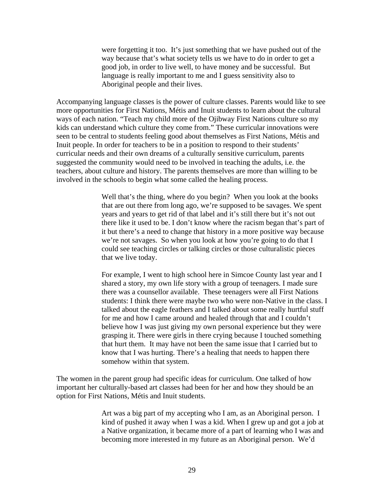were forgetting it too. It's just something that we have pushed out of the way because that's what society tells us we have to do in order to get a good job, in order to live well, to have money and be successful. But language is really important to me and I guess sensitivity also to Aboriginal people and their lives.

Accompanying language classes is the power of culture classes. Parents would like to see more opportunities for First Nations, Métis and Inuit students to learn about the cultural ways of each nation. "Teach my child more of the Ojibway First Nations culture so my kids can understand which culture they come from." These curricular innovations were seen to be central to students feeling good about themselves as First Nations, Métis and Inuit people. In order for teachers to be in a position to respond to their students' curricular needs and their own dreams of a culturally sensitive curriculum, parents suggested the community would need to be involved in teaching the adults, i.e. the teachers, about culture and history. The parents themselves are more than willing to be involved in the schools to begin what some called the healing process.

> Well that's the thing, where do you begin? When you look at the books that are out there from long ago, we're supposed to be savages. We spent years and years to get rid of that label and it's still there but it's not out there like it used to be. I don't know where the racism began that's part of it but there's a need to change that history in a more positive way because we're not savages. So when you look at how you're going to do that I could see teaching circles or talking circles or those culturalistic pieces that we live today.

For example, I went to high school here in Simcoe County last year and I shared a story, my own life story with a group of teenagers. I made sure there was a counsellor available. These teenagers were all First Nations students: I think there were maybe two who were non-Native in the class. I talked about the eagle feathers and I talked about some really hurtful stuff for me and how I came around and healed through that and I couldn't believe how I was just giving my own personal experience but they were grasping it. There were girls in there crying because I touched something that hurt them. It may have not been the same issue that I carried but to know that I was hurting. There's a healing that needs to happen there somehow within that system.

The women in the parent group had specific ideas for curriculum. One talked of how important her culturally-based art classes had been for her and how they should be an option for First Nations, Métis and Inuit students.

> Art was a big part of my accepting who I am, as an Aboriginal person. I kind of pushed it away when I was a kid. When I grew up and got a job at a Native organization, it became more of a part of learning who I was and becoming more interested in my future as an Aboriginal person. We'd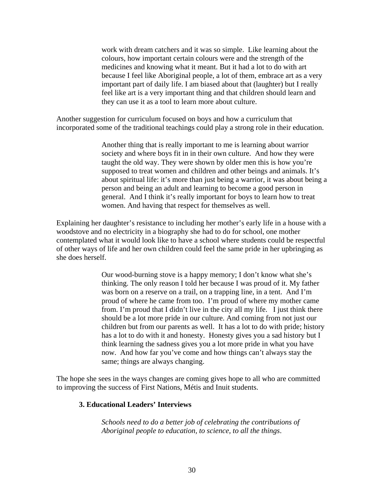work with dream catchers and it was so simple. Like learning about the colours, how important certain colours were and the strength of the medicines and knowing what it meant. But it had a lot to do with art because I feel like Aboriginal people, a lot of them, embrace art as a very important part of daily life. I am biased about that (laughter) but I really feel like art is a very important thing and that children should learn and they can use it as a tool to learn more about culture.

Another suggestion for curriculum focused on boys and how a curriculum that incorporated some of the traditional teachings could play a strong role in their education.

> Another thing that is really important to me is learning about warrior society and where boys fit in in their own culture. And how they were taught the old way. They were shown by older men this is how you're supposed to treat women and children and other beings and animals. It's about spiritual life: it's more than just being a warrior, it was about being a person and being an adult and learning to become a good person in general. And I think it's really important for boys to learn how to treat women. And having that respect for themselves as well.

Explaining her daughter's resistance to including her mother's early life in a house with a woodstove and no electricity in a biography she had to do for school, one mother contemplated what it would look like to have a school where students could be respectful of other ways of life and her own children could feel the same pride in her upbringing as she does herself.

> Our wood-burning stove is a happy memory; I don't know what she's thinking. The only reason I told her because I was proud of it. My father was born on a reserve on a trail, on a trapping line, in a tent. And I'm proud of where he came from too. I'm proud of where my mother came from. I'm proud that I didn't live in the city all my life. I just think there should be a lot more pride in our culture. And coming from not just our children but from our parents as well. It has a lot to do with pride; history has a lot to do with it and honesty. Honesty gives you a sad history but I think learning the sadness gives you a lot more pride in what you have now. And how far you've come and how things can't always stay the same; things are always changing.

The hope she sees in the ways changes are coming gives hope to all who are committed to improving the success of First Nations, Métis and Inuit students.

#### **3. Educational Leaders' Interviews**

*Schools need to do a better job of celebrating the contributions of Aboriginal people to education, to science, to all the things*.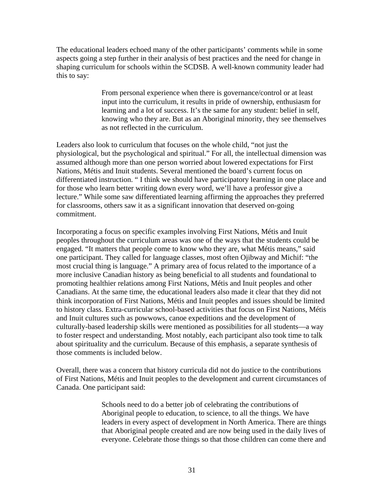The educational leaders echoed many of the other participants' comments while in some aspects going a step further in their analysis of best practices and the need for change in shaping curriculum for schools within the SCDSB. A well-known community leader had this to say:

> From personal experience when there is governance/control or at least input into the curriculum, it results in pride of ownership, enthusiasm for learning and a lot of success. It's the same for any student: belief in self, knowing who they are. But as an Aboriginal minority, they see themselves as not reflected in the curriculum.

Leaders also look to curriculum that focuses on the whole child, "not just the physiological, but the psychological and spiritual." For all, the intellectual dimension was assumed although more than one person worried about lowered expectations for First Nations, Métis and Inuit students. Several mentioned the board's current focus on differentiated instruction. " I think we should have participatory learning in one place and for those who learn better writing down every word, we'll have a professor give a lecture." While some saw differentiated learning affirming the approaches they preferred for classrooms, others saw it as a significant innovation that deserved on-going commitment.

Incorporating a focus on specific examples involving First Nations, Métis and Inuit peoples throughout the curriculum areas was one of the ways that the students could be engaged. "It matters that people come to know who they are, what Métis means," said one participant. They called for language classes, most often Ojibway and Michif: "the most crucial thing is language." A primary area of focus related to the importance of a more inclusive Canadian history as being beneficial to all students and foundational to promoting healthier relations among First Nations, Métis and Inuit peoples and other Canadians. At the same time, the educational leaders also made it clear that they did not think incorporation of First Nations, Métis and Inuit peoples and issues should be limited to history class. Extra-curricular school-based activities that focus on First Nations, Métis and Inuit cultures such as powwows, canoe expeditions and the development of culturally-based leadership skills were mentioned as possibilities for all students—a way to foster respect and understanding. Most notably, each participant also took time to talk about spirituality and the curriculum. Because of this emphasis, a separate synthesis of those comments is included below.

Overall, there was a concern that history curricula did not do justice to the contributions of First Nations, Métis and Inuit peoples to the development and current circumstances of Canada. One participant said:

> Schools need to do a better job of celebrating the contributions of Aboriginal people to education, to science, to all the things. We have leaders in every aspect of development in North America. There are things that Aboriginal people created and are now being used in the daily lives of everyone. Celebrate those things so that those children can come there and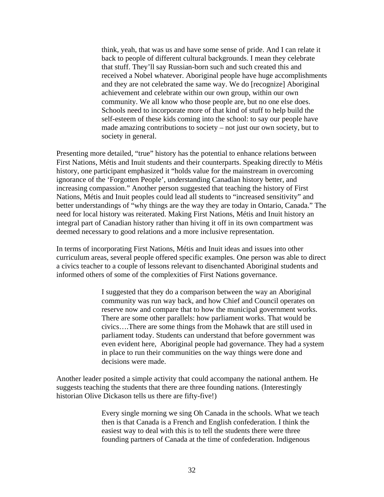think, yeah, that was us and have some sense of pride. And I can relate it back to people of different cultural backgrounds. I mean they celebrate that stuff. They'll say Russian-born such and such created this and received a Nobel whatever. Aboriginal people have huge accomplishments and they are not celebrated the same way. We do [recognize] Aboriginal achievement and celebrate within our own group, within our own community. We all know who those people are, but no one else does. Schools need to incorporate more of that kind of stuff to help build the self-esteem of these kids coming into the school: to say our people have made amazing contributions to society – not just our own society, but to society in general.

Presenting more detailed, "true" history has the potential to enhance relations between First Nations, Métis and Inuit students and their counterparts. Speaking directly to Métis history, one participant emphasized it "holds value for the mainstream in overcoming ignorance of the 'Forgotten People', understanding Canadian history better, and increasing compassion." Another person suggested that teaching the history of First Nations, Métis and Inuit peoples could lead all students to "increased sensitivity" and better understandings of "why things are the way they are today in Ontario, Canada." The need for local history was reiterated. Making First Nations, Métis and Inuit history an integral part of Canadian history rather than hiving it off in its own compartment was deemed necessary to good relations and a more inclusive representation.

In terms of incorporating First Nations, Métis and Inuit ideas and issues into other curriculum areas, several people offered specific examples. One person was able to direct a civics teacher to a couple of lessons relevant to disenchanted Aboriginal students and informed others of some of the complexities of First Nations governance.

> I suggested that they do a comparison between the way an Aboriginal community was run way back, and how Chief and Council operates on reserve now and compare that to how the municipal government works. There are some other parallels: how parliament works. That would be civics….There are some things from the Mohawk that are still used in parliament today. Students can understand that before government was even evident here, Aboriginal people had governance. They had a system in place to run their communities on the way things were done and decisions were made.

Another leader posited a simple activity that could accompany the national anthem. He suggests teaching the students that there are three founding nations. (Interestingly historian Olive Dickason tells us there are fifty-five!)

> Every single morning we sing Oh Canada in the schools. What we teach then is that Canada is a French and English confederation. I think the easiest way to deal with this is to tell the students there were three founding partners of Canada at the time of confederation. Indigenous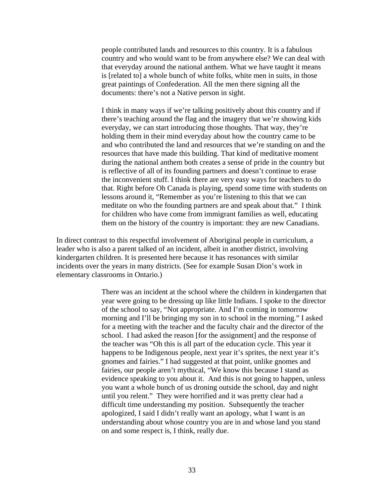people contributed lands and resources to this country. It is a fabulous country and who would want to be from anywhere else? We can deal with that everyday around the national anthem. What we have taught it means is [related to] a whole bunch of white folks, white men in suits, in those great paintings of Confederation. All the men there signing all the documents: there's not a Native person in sight.

I think in many ways if we're talking positively about this country and if there's teaching around the flag and the imagery that we're showing kids everyday, we can start introducing those thoughts. That way, they're holding them in their mind everyday about how the country came to be and who contributed the land and resources that we're standing on and the resources that have made this building. That kind of meditative moment during the national anthem both creates a sense of pride in the country but is reflective of all of its founding partners and doesn't continue to erase the inconvenient stuff. I think there are very easy ways for teachers to do that. Right before Oh Canada is playing, spend some time with students on lessons around it, "Remember as you're listening to this that we can meditate on who the founding partners are and speak about that." I think for children who have come from immigrant families as well, educating them on the history of the country is important: they are new Canadians.

In direct contrast to this respectful involvement of Aboriginal people in curriculum, a leader who is also a parent talked of an incident, albeit in another district, involving kindergarten children. It is presented here because it has resonances with similar incidents over the years in many districts. (See for example Susan Dion's work in elementary classrooms in Ontario.)

> There was an incident at the school where the children in kindergarten that year were going to be dressing up like little Indians. I spoke to the director of the school to say, "Not appropriate. And I'm coming in tomorrow morning and I'll be bringing my son in to school in the morning." I asked for a meeting with the teacher and the faculty chair and the director of the school. I had asked the reason [for the assignment] and the response of the teacher was "Oh this is all part of the education cycle. This year it happens to be Indigenous people, next year it's sprites, the next year it's gnomes and fairies." I had suggested at that point, unlike gnomes and fairies, our people aren't mythical, "We know this because I stand as evidence speaking to you about it. And this is not going to happen, unless you want a whole bunch of us droning outside the school, day and night until you relent." They were horrified and it was pretty clear had a difficult time understanding my position. Subsequently the teacher apologized, I said I didn't really want an apology, what I want is an understanding about whose country you are in and whose land you stand on and some respect is, I think, really due.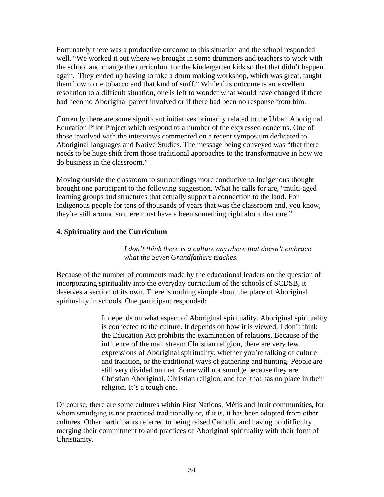Fortunately there was a productive outcome to this situation and the school responded well. "We worked it out where we brought in some drummers and teachers to work with the school and change the curriculum for the kindergarten kids so that that didn't happen again. They ended up having to take a drum making workshop, which was great, taught them how to tie tobacco and that kind of stuff." While this outcome is an excellent resolution to a difficult situation, one is left to wonder what would have changed if there had been no Aboriginal parent involved or if there had been no response from him.

Currently there are some significant initiatives primarily related to the Urban Aboriginal Education Pilot Project which respond to a number of the expressed concerns. One of those involved with the interviews commented on a recent symposium dedicated to Aboriginal languages and Native Studies. The message being conveyed was "that there needs to be huge shift from those traditional approaches to the transformative in how we do business in the classroom."

Moving outside the classroom to surroundings more conducive to Indigenous thought brought one participant to the following suggestion. What he calls for are, "multi-aged learning groups and structures that actually support a connection to the land. For Indigenous people for tens of thousands of years that was the classroom and, you know, they're still around so there must have a been something right about that one."

## **4. Spirituality and the Curriculum**

*I don't think there is a culture anywhere that doesn't embrace what the Seven Grandfathers teaches.*

Because of the number of comments made by the educational leaders on the question of incorporating spirituality into the everyday curriculum of the schools of SCDSB, it deserves a section of its own. There is nothing simple about the place of Aboriginal spirituality in schools. One participant responded:

> It depends on what aspect of Aboriginal spirituality. Aboriginal spirituality is connected to the culture. It depends on how it is viewed. I don't think the Education Act prohibits the examination of relations. Because of the influence of the mainstream Christian religion, there are very few expressions of Aboriginal spirituality, whether you're talking of culture and tradition, or the traditional ways of gathering and hunting. People are still very divided on that. Some will not smudge because they are Christian Aboriginal, Christian religion, and feel that has no place in their religion. It's a tough one.

Of course, there are some cultures within First Nations, Métis and Inuit communities, for whom smudging is not practiced traditionally or, if it is, it has been adopted from other cultures. Other participants referred to being raised Catholic and having no difficulty merging their commitment to and practices of Aboriginal spirituality with their form of Christianity.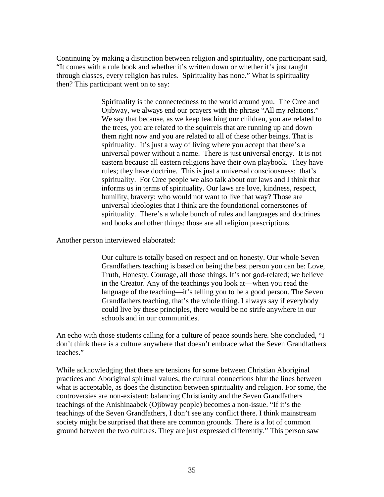Continuing by making a distinction between religion and spirituality, one participant said, "It comes with a rule book and whether it's written down or whether it's just taught through classes, every religion has rules. Spirituality has none." What is spirituality then? This participant went on to say:

> Spirituality is the connectedness to the world around you. The Cree and Ojibway, we always end our prayers with the phrase "All my relations." We say that because, as we keep teaching our children, you are related to the trees, you are related to the squirrels that are running up and down them right now and you are related to all of these other beings. That is spirituality. It's just a way of living where you accept that there's a universal power without a name. There is just universal energy. It is not eastern because all eastern religions have their own playbook. They have rules; they have doctrine. This is just a universal consciousness: that's spirituality. For Cree people we also talk about our laws and I think that informs us in terms of spirituality. Our laws are love, kindness, respect, humility, bravery: who would not want to live that way? Those are universal ideologies that I think are the foundational cornerstones of spirituality. There's a whole bunch of rules and languages and doctrines and books and other things: those are all religion prescriptions.

Another person interviewed elaborated:

Our culture is totally based on respect and on honesty. Our whole Seven Grandfathers teaching is based on being the best person you can be: Love, Truth, Honesty, Courage, all those things. It's not god-related; we believe in the Creator. Any of the teachings you look at—when you read the language of the teaching—it's telling you to be a good person. The Seven Grandfathers teaching, that's the whole thing. I always say if everybody could live by these principles, there would be no strife anywhere in our schools and in our communities.

An echo with those students calling for a culture of peace sounds here. She concluded, "I don't think there is a culture anywhere that doesn't embrace what the Seven Grandfathers teaches."

While acknowledging that there are tensions for some between Christian Aboriginal practices and Aboriginal spiritual values, the cultural connections blur the lines between what is acceptable, as does the distinction between spirituality and religion. For some, the controversies are non-existent: balancing Christianity and the Seven Grandfathers teachings of the Anishinaabek (Ojibway people) becomes a non-issue. "If it's the teachings of the Seven Grandfathers, I don't see any conflict there. I think mainstream society might be surprised that there are common grounds. There is a lot of common ground between the two cultures. They are just expressed differently." This person saw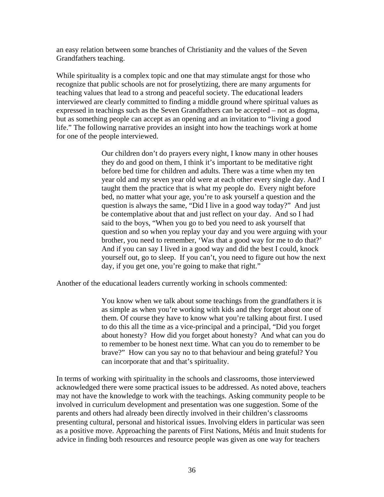an easy relation between some branches of Christianity and the values of the Seven Grandfathers teaching.

While spirituality is a complex topic and one that may stimulate angst for those who recognize that public schools are not for proselytizing, there are many arguments for teaching values that lead to a strong and peaceful society. The educational leaders interviewed are clearly committed to finding a middle ground where spiritual values as expressed in teachings such as the Seven Grandfathers can be accepted – not as dogma, but as something people can accept as an opening and an invitation to "living a good life." The following narrative provides an insight into how the teachings work at home for one of the people interviewed.

> Our children don't do prayers every night, I know many in other houses they do and good on them, I think it's important to be meditative right before bed time for children and adults. There was a time when my ten year old and my seven year old were at each other every single day. And I taught them the practice that is what my people do. Every night before bed, no matter what your age, you're to ask yourself a question and the question is always the same, "Did I live in a good way today?" And just be contemplative about that and just reflect on your day. And so I had said to the boys, "When you go to bed you need to ask yourself that question and so when you replay your day and you were arguing with your brother, you need to remember, 'Was that a good way for me to do that?' And if you can say I lived in a good way and did the best I could, knock yourself out, go to sleep. If you can't, you need to figure out how the next day, if you get one, you're going to make that right."

Another of the educational leaders currently working in schools commented:

You know when we talk about some teachings from the grandfathers it is as simple as when you're working with kids and they forget about one of them. Of course they have to know what you're talking about first. I used to do this all the time as a vice-principal and a principal, "Did you forget about honesty? How did you forget about honesty? And what can you do to remember to be honest next time. What can you do to remember to be brave?" How can you say no to that behaviour and being grateful? You can incorporate that and that's spirituality.

In terms of working with spirituality in the schools and classrooms, those interviewed acknowledged there were some practical issues to be addressed. As noted above, teachers may not have the knowledge to work with the teachings. Asking community people to be involved in curriculum development and presentation was one suggestion. Some of the parents and others had already been directly involved in their children's classrooms presenting cultural, personal and historical issues. Involving elders in particular was seen as a positive move. Approaching the parents of First Nations, Métis and Inuit students for advice in finding both resources and resource people was given as one way for teachers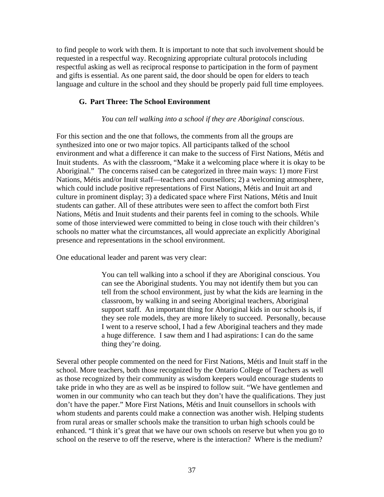to find people to work with them. It is important to note that such involvement should be requested in a respectful way. Recognizing appropriate cultural protocols including respectful asking as well as reciprocal response to participation in the form of payment and gifts is essential. As one parent said, the door should be open for elders to teach language and culture in the school and they should be properly paid full time employees.

#### **G. Part Three: The School Environment**

#### *You can tell walking into a school if they are Aboriginal conscious*.

For this section and the one that follows, the comments from all the groups are synthesized into one or two major topics. All participants talked of the school environment and what a difference it can make to the success of First Nations, Métis and Inuit students. As with the classroom, "Make it a welcoming place where it is okay to be Aboriginal." The concerns raised can be categorized in three main ways: 1) more First Nations, Métis and/or Inuit staff—teachers and counsellors; 2) a welcoming atmosphere, which could include positive representations of First Nations, Métis and Inuit art and culture in prominent display; 3) a dedicated space where First Nations, Métis and Inuit students can gather. All of these attributes were seen to affect the comfort both First Nations, Métis and Inuit students and their parents feel in coming to the schools. While some of those interviewed were committed to being in close touch with their children's schools no matter what the circumstances, all would appreciate an explicitly Aboriginal presence and representations in the school environment.

One educational leader and parent was very clear:

You can tell walking into a school if they are Aboriginal conscious. You can see the Aboriginal students. You may not identify them but you can tell from the school environment, just by what the kids are learning in the classroom, by walking in and seeing Aboriginal teachers, Aboriginal support staff. An important thing for Aboriginal kids in our schools is, if they see role models, they are more likely to succeed. Personally, because I went to a reserve school, I had a few Aboriginal teachers and they made a huge difference. I saw them and I had aspirations: I can do the same thing they're doing.

Several other people commented on the need for First Nations, Métis and Inuit staff in the school. More teachers, both those recognized by the Ontario College of Teachers as well as those recognized by their community as wisdom keepers would encourage students to take pride in who they are as well as be inspired to follow suit. "We have gentlemen and women in our community who can teach but they don't have the qualifications. They just don't have the paper." More First Nations, Métis and Inuit counsellors in schools with whom students and parents could make a connection was another wish. Helping students from rural areas or smaller schools make the transition to urban high schools could be enhanced. "I think it's great that we have our own schools on reserve but when you go to school on the reserve to off the reserve, where is the interaction? Where is the medium?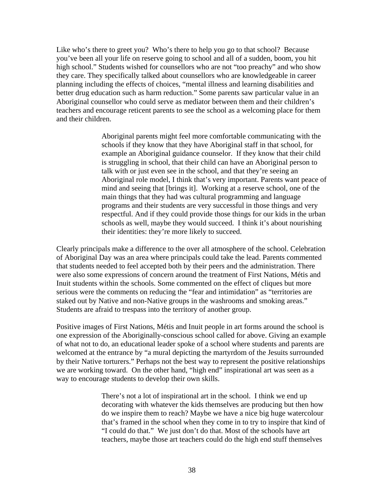Like who's there to greet you? Who's there to help you go to that school? Because you've been all your life on reserve going to school and all of a sudden, boom, you hit high school." Students wished for counsellors who are not "too preachy" and who show they care. They specifically talked about counsellors who are knowledgeable in career planning including the effects of choices, "mental illness and learning disabilities and better drug education such as harm reduction." Some parents saw particular value in an Aboriginal counsellor who could serve as mediator between them and their children's teachers and encourage reticent parents to see the school as a welcoming place for them and their children.

> Aboriginal parents might feel more comfortable communicating with the schools if they know that they have Aboriginal staff in that school, for example an Aboriginal guidance counselor. If they know that their child is struggling in school, that their child can have an Aboriginal person to talk with or just even see in the school, and that they're seeing an Aboriginal role model, I think that's very important. Parents want peace of mind and seeing that [brings it]. Working at a reserve school, one of the main things that they had was cultural programming and language programs and their students are very successful in those things and very respectful. And if they could provide those things for our kids in the urban schools as well, maybe they would succeed. I think it's about nourishing their identities: they're more likely to succeed.

Clearly principals make a difference to the over all atmosphere of the school. Celebration of Aboriginal Day was an area where principals could take the lead. Parents commented that students needed to feel accepted both by their peers and the administration. There were also some expressions of concern around the treatment of First Nations, Métis and Inuit students within the schools. Some commented on the effect of cliques but more serious were the comments on reducing the "fear and intimidation" as "territories are staked out by Native and non-Native groups in the washrooms and smoking areas." Students are afraid to trespass into the territory of another group.

Positive images of First Nations, Métis and Inuit people in art forms around the school is one expression of the Aboriginally-conscious school called for above. Giving an example of what not to do, an educational leader spoke of a school where students and parents are welcomed at the entrance by "a mural depicting the martyrdom of the Jesuits surrounded by their Native torturers." Perhaps not the best way to represent the positive relationships we are working toward. On the other hand, "high end" inspirational art was seen as a way to encourage students to develop their own skills.

> There's not a lot of inspirational art in the school. I think we end up decorating with whatever the kids themselves are producing but then how do we inspire them to reach? Maybe we have a nice big huge watercolour that's framed in the school when they come in to try to inspire that kind of "I could do that." We just don't do that. Most of the schools have art teachers, maybe those art teachers could do the high end stuff themselves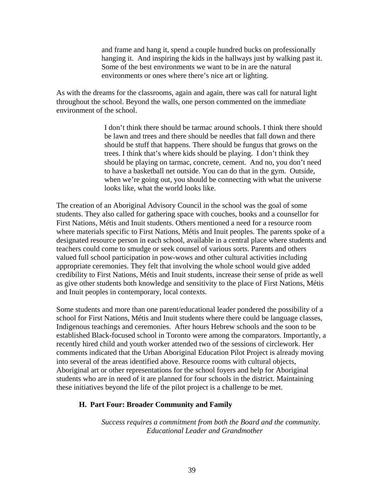and frame and hang it, spend a couple hundred bucks on professionally hanging it. And inspiring the kids in the hallways just by walking past it. Some of the best environments we want to be in are the natural environments or ones where there's nice art or lighting.

As with the dreams for the classrooms, again and again, there was call for natural light throughout the school. Beyond the walls, one person commented on the immediate environment of the school.

> I don't think there should be tarmac around schools. I think there should be lawn and trees and there should be needles that fall down and there should be stuff that happens. There should be fungus that grows on the trees. I think that's where kids should be playing. I don't think they should be playing on tarmac, concrete, cement. And no, you don't need to have a basketball net outside. You can do that in the gym. Outside, when we're going out, you should be connecting with what the universe looks like, what the world looks like.

The creation of an Aboriginal Advisory Council in the school was the goal of some students. They also called for gathering space with couches, books and a counsellor for First Nations, Métis and Inuit students. Others mentioned a need for a resource room where materials specific to First Nations, Métis and Inuit peoples. The parents spoke of a designated resource person in each school, available in a central place where students and teachers could come to smudge or seek counsel of various sorts. Parents and others valued full school participation in pow-wows and other cultural activities including appropriate ceremonies. They felt that involving the whole school would give added credibility to First Nations, Métis and Inuit students, increase their sense of pride as well as give other students both knowledge and sensitivity to the place of First Nations, Métis and Inuit peoples in contemporary, local contexts.

Some students and more than one parent/educational leader pondered the possibility of a school for First Nations, Métis and Inuit students where there could be language classes, Indigenous teachings and ceremonies. After hours Hebrew schools and the soon to be established Black-focused school in Toronto were among the comparators. Importantly, a recently hired child and youth worker attended two of the sessions of circlework. Her comments indicated that the Urban Aboriginal Education Pilot Project is already moving into several of the areas identified above. Resource rooms with cultural objects, Aboriginal art or other representations for the school foyers and help for Aboriginal students who are in need of it are planned for four schools in the district. Maintaining these initiatives beyond the life of the pilot project is a challenge to be met.

#### **H. Part Four: Broader Community and Family**

*Success requires a commitment from both the Board and the community. Educational Leader and Grandmother*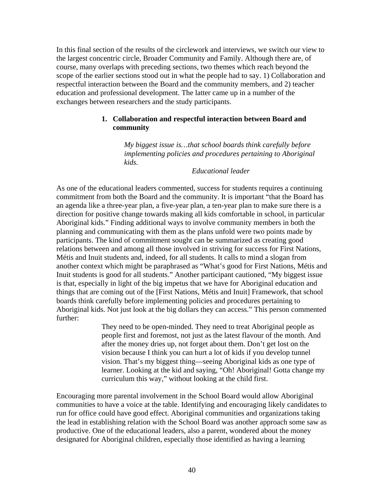In this final section of the results of the circlework and interviews, we switch our view to the largest concentric circle, Broader Community and Family. Although there are, of course, many overlaps with preceding sections, two themes which reach beyond the scope of the earlier sections stood out in what the people had to say. 1) Collaboration and respectful interaction between the Board and the community members, and 2) teacher education and professional development. The latter came up in a number of the exchanges between researchers and the study participants.

#### **1. Collaboration and respectful interaction between Board and community**

*My biggest issue is…that school boards think carefully before implementing policies and procedures pertaining to Aboriginal kids.* 

 *Educational leader* 

As one of the educational leaders commented, success for students requires a continuing commitment from both the Board and the community. It is important "that the Board has an agenda like a three-year plan, a five-year plan, a ten-year plan to make sure there is a direction for positive change towards making all kids comfortable in school, in particular Aboriginal kids." Finding additional ways to involve community members in both the planning and communicating with them as the plans unfold were two points made by participants. The kind of commitment sought can be summarized as creating good relations between and among all those involved in striving for success for First Nations, Métis and Inuit students and, indeed, for all students. It calls to mind a slogan from another context which might be paraphrased as "What's good for First Nations, Métis and Inuit students is good for all students." Another participant cautioned, "My biggest issue is that, especially in light of the big impetus that we have for Aboriginal education and things that are coming out of the [First Nations, Métis and Inuit] Framework, that school boards think carefully before implementing policies and procedures pertaining to Aboriginal kids. Not just look at the big dollars they can access." This person commented further:

> They need to be open-minded. They need to treat Aboriginal people as people first and foremost, not just as the latest flavour of the month. And after the money dries up, not forget about them. Don't get lost on the vision because I think you can hurt a lot of kids if you develop tunnel vision. That's my biggest thing—seeing Aboriginal kids as one type of learner. Looking at the kid and saying, "Oh! Aboriginal! Gotta change my curriculum this way," without looking at the child first.

Encouraging more parental involvement in the School Board would allow Aboriginal communities to have a voice at the table. Identifying and encouraging likely candidates to run for office could have good effect. Aboriginal communities and organizations taking the lead in establishing relation with the School Board was another approach some saw as productive. One of the educational leaders, also a parent, wondered about the money designated for Aboriginal children, especially those identified as having a learning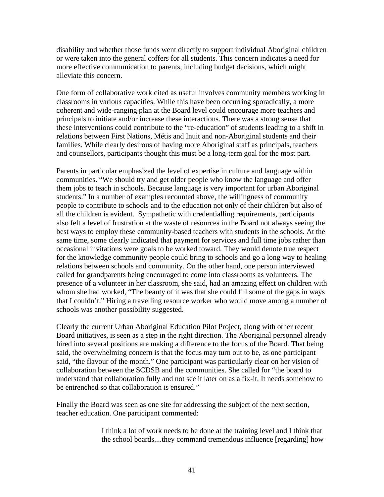disability and whether those funds went directly to support individual Aboriginal children or were taken into the general coffers for all students. This concern indicates a need for more effective communication to parents, including budget decisions, which might alleviate this concern.

One form of collaborative work cited as useful involves community members working in classrooms in various capacities. While this have been occurring sporadically, a more coherent and wide-ranging plan at the Board level could encourage more teachers and principals to initiate and/or increase these interactions. There was a strong sense that these interventions could contribute to the "re-education" of students leading to a shift in relations between First Nations, Métis and Inuit and non-Aboriginal students and their families. While clearly desirous of having more Aboriginal staff as principals, teachers and counsellors, participants thought this must be a long-term goal for the most part.

Parents in particular emphasized the level of expertise in culture and language within communities. "We should try and get older people who know the language and offer them jobs to teach in schools. Because language is very important for urban Aboriginal students." In a number of examples recounted above, the willingness of community people to contribute to schools and to the education not only of their children but also of all the children is evident. Sympathetic with credentialling requirements, participants also felt a level of frustration at the waste of resources in the Board not always seeing the best ways to employ these community-based teachers with students in the schools. At the same time, some clearly indicated that payment for services and full time jobs rather than occasional invitations were goals to be worked toward. They would denote true respect for the knowledge community people could bring to schools and go a long way to healing relations between schools and community. On the other hand, one person interviewed called for grandparents being encouraged to come into classrooms as volunteers. The presence of a volunteer in her classroom, she said, had an amazing effect on children with whom she had worked, "The beauty of it was that she could fill some of the gaps in ways that I couldn't." Hiring a travelling resource worker who would move among a number of schools was another possibility suggested.

Clearly the current Urban Aboriginal Education Pilot Project, along with other recent Board initiatives, is seen as a step in the right direction. The Aboriginal personnel already hired into several positions are making a difference to the focus of the Board. That being said, the overwhelming concern is that the focus may turn out to be, as one participant said, "the flavour of the month." One participant was particularly clear on her vision of collaboration between the SCDSB and the communities. She called for "the board to understand that collaboration fully and not see it later on as a fix-it. It needs somehow to be entrenched so that collaboration is ensured."

Finally the Board was seen as one site for addressing the subject of the next section, teacher education. One participant commented:

> I think a lot of work needs to be done at the training level and I think that the school boards....they command tremendous influence [regarding] how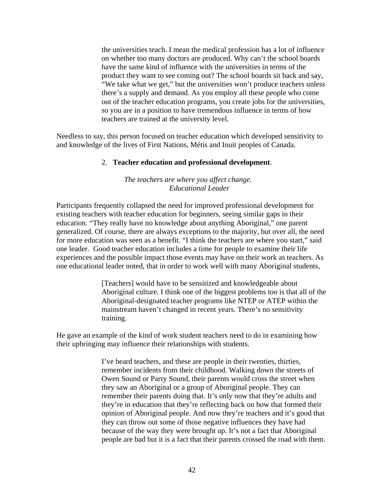the universities teach. I mean the medical profession has a lot of influence on whether too many doctors are produced. Why can't the school boards have the same kind of influence with the universities in terms of the product they want to see coming out? The school boards sit back and say, "We take what we get," but the universities won't produce teachers unless there's a supply and demand. As you employ all these people who come out of the teacher education programs, you create jobs for the universities, so you are in a position to have tremendous influence in terms of how teachers are trained at the university level.

Needless to say, this person focused on teacher education which developed sensitivity to and knowledge of the lives of First Nations, Métis and Inuit peoples of Canada.

#### 2. **Teacher education and professional development**.

#### *The teachers are where you affect change. Educational Leader*

Participants frequently collapsed the need for improved professional development for existing teachers with teacher education for beginners, seeing similar gaps in their education. "They really have no knowledge about anything Aboriginal," one parent generalized. Of course, there are always exceptions to the majority, but over all, the need for more education was seen as a benefit. "I think the teachers are where you start," said one leader. Good teacher education includes a time for people to examine their life experiences and the possible impact those events may have on their work as teachers. As one educational leader noted, that in order to work well with many Aboriginal students,

> [Teachers] would have to be sensitized and knowledgeable about Aboriginal culture. I think one of the biggest problems too is that all of the Aboriginal-designated teacher programs like NTEP or ATEP within the mainstream haven't changed in recent years. There's no sensitivity training.

He gave an example of the kind of work student teachers need to do in examining how their upbringing may influence their relationships with students.

> I've heard teachers, and these are people in their twenties, thirties, remember incidents from their childhood. Walking down the streets of Owen Sound or Parry Sound, their parents would cross the street when they saw an Aboriginal or a group of Aboriginal people. They can remember their parents doing that. It's only now that they're adults and they're in education that they're reflecting back on how that formed their opinion of Aboriginal people. And now they're teachers and it's good that they can throw out some of those negative influences they have had because of the way they were brought up. It's not a fact that Aboriginal people are bad but it is a fact that their parents crossed the road with them.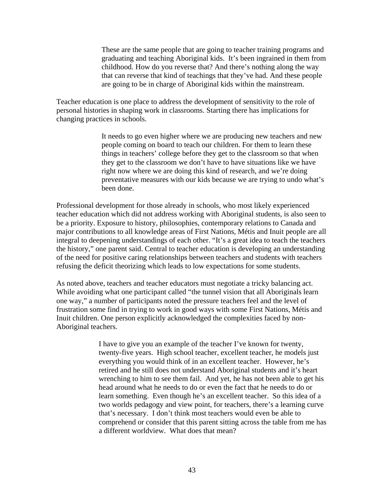These are the same people that are going to teacher training programs and graduating and teaching Aboriginal kids. It's been ingrained in them from childhood. How do you reverse that? And there's nothing along the way that can reverse that kind of teachings that they've had. And these people are going to be in charge of Aboriginal kids within the mainstream.

Teacher education is one place to address the development of sensitivity to the role of personal histories in shaping work in classrooms. Starting there has implications for changing practices in schools.

> It needs to go even higher where we are producing new teachers and new people coming on board to teach our children. For them to learn these things in teachers' college before they get to the classroom so that when they get to the classroom we don't have to have situations like we have right now where we are doing this kind of research, and we're doing preventative measures with our kids because we are trying to undo what's been done.

Professional development for those already in schools, who most likely experienced teacher education which did not address working with Aboriginal students, is also seen to be a priority. Exposure to history, philosophies, contemporary relations to Canada and major contributions to all knowledge areas of First Nations, Métis and Inuit people are all integral to deepening understandings of each other. "It's a great idea to teach the teachers the history," one parent said. Central to teacher education is developing an understanding of the need for positive caring relationships between teachers and students with teachers refusing the deficit theorizing which leads to low expectations for some students.

As noted above, teachers and teacher educators must negotiate a tricky balancing act. While avoiding what one participant called "the tunnel vision that all Aboriginals learn one way," a number of participants noted the pressure teachers feel and the level of frustration some find in trying to work in good ways with some First Nations, Métis and Inuit children. One person explicitly acknowledged the complexities faced by non-Aboriginal teachers.

> I have to give you an example of the teacher I've known for twenty, twenty-five years. High school teacher, excellent teacher, he models just everything you would think of in an excellent teacher. However, he's retired and he still does not understand Aboriginal students and it's heart wrenching to him to see them fail. And yet, he has not been able to get his head around what he needs to do or even the fact that he needs to do or learn something. Even though he's an excellent teacher. So this idea of a two worlds pedagogy and view point, for teachers, there's a learning curve that's necessary. I don't think most teachers would even be able to comprehend or consider that this parent sitting across the table from me has a different worldview. What does that mean?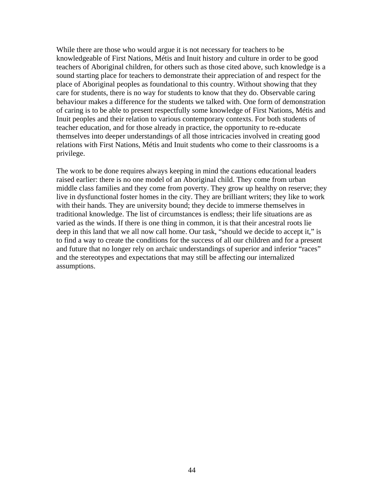While there are those who would argue it is not necessary for teachers to be knowledgeable of First Nations, Métis and Inuit history and culture in order to be good teachers of Aboriginal children, for others such as those cited above, such knowledge is a sound starting place for teachers to demonstrate their appreciation of and respect for the place of Aboriginal peoples as foundational to this country. Without showing that they care for students, there is no way for students to know that they do. Observable caring behaviour makes a difference for the students we talked with. One form of demonstration of caring is to be able to present respectfully some knowledge of First Nations, Métis and Inuit peoples and their relation to various contemporary contexts. For both students of teacher education, and for those already in practice, the opportunity to re-educate themselves into deeper understandings of all those intricacies involved in creating good relations with First Nations, Métis and Inuit students who come to their classrooms is a privilege.

The work to be done requires always keeping in mind the cautions educational leaders raised earlier: there is no one model of an Aboriginal child. They come from urban middle class families and they come from poverty. They grow up healthy on reserve; they live in dysfunctional foster homes in the city. They are brilliant writers; they like to work with their hands. They are university bound; they decide to immerse themselves in traditional knowledge. The list of circumstances is endless; their life situations are as varied as the winds. If there is one thing in common, it is that their ancestral roots lie deep in this land that we all now call home. Our task, "should we decide to accept it," is to find a way to create the conditions for the success of all our children and for a present and future that no longer rely on archaic understandings of superior and inferior "races" and the stereotypes and expectations that may still be affecting our internalized assumptions.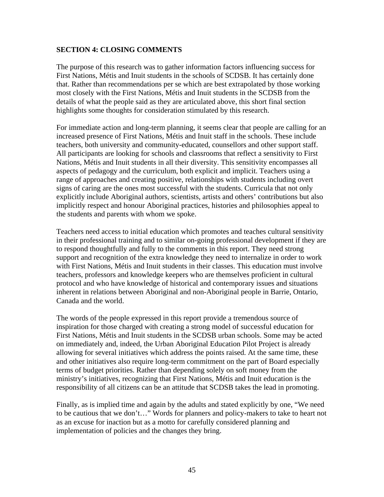#### **SECTION 4: CLOSING COMMENTS**

The purpose of this research was to gather information factors influencing success for First Nations, Métis and Inuit students in the schools of SCDSB. It has certainly done that. Rather than recommendations per se which are best extrapolated by those working most closely with the First Nations, Métis and Inuit students in the SCDSB from the details of what the people said as they are articulated above, this short final section highlights some thoughts for consideration stimulated by this research.

For immediate action and long-term planning, it seems clear that people are calling for an increased presence of First Nations, Métis and Inuit staff in the schools. These include teachers, both university and community-educated, counsellors and other support staff. All participants are looking for schools and classrooms that reflect a sensitivity to First Nations, Métis and Inuit students in all their diversity. This sensitivity encompasses all aspects of pedagogy and the curriculum, both explicit and implicit. Teachers using a range of approaches and creating positive, relationships with students including overt signs of caring are the ones most successful with the students. Curricula that not only explicitly include Aboriginal authors, scientists, artists and others' contributions but also implicitly respect and honour Aboriginal practices, histories and philosophies appeal to the students and parents with whom we spoke.

Teachers need access to initial education which promotes and teaches cultural sensitivity in their professional training and to similar on-going professional development if they are to respond thoughtfully and fully to the comments in this report. They need strong support and recognition of the extra knowledge they need to internalize in order to work with First Nations, Métis and Inuit students in their classes. This education must involve teachers, professors and knowledge keepers who are themselves proficient in cultural protocol and who have knowledge of historical and contemporary issues and situations inherent in relations between Aboriginal and non-Aboriginal people in Barrie, Ontario, Canada and the world.

The words of the people expressed in this report provide a tremendous source of inspiration for those charged with creating a strong model of successful education for First Nations, Métis and Inuit students in the SCDSB urban schools. Some may be acted on immediately and, indeed, the Urban Aboriginal Education Pilot Project is already allowing for several initiatives which address the points raised. At the same time, these and other initiatives also require long-term commitment on the part of Board especially terms of budget priorities. Rather than depending solely on soft money from the ministry's initiatives, recognizing that First Nations, Métis and Inuit education is the responsibility of all citizens can be an attitude that SCDSB takes the lead in promoting.

Finally, as is implied time and again by the adults and stated explicitly by one, "We need to be cautious that we don't…" Words for planners and policy-makers to take to heart not as an excuse for inaction but as a motto for carefully considered planning and implementation of policies and the changes they bring.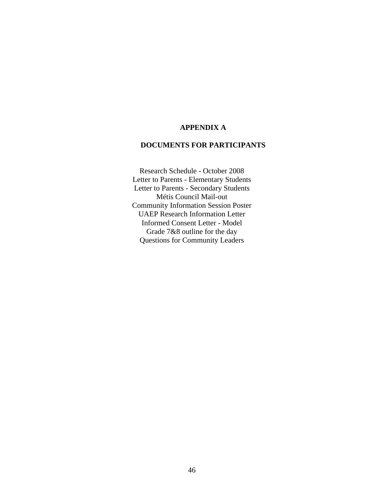#### **APPENDIX A**

#### **DOCUMENTS FOR PARTICIPANTS**

Research Schedule - October 2008 Letter to Parents - Elementary Students Letter to Parents - Secondary Students Métis Council Mail-out Community Information Session Poster UAEP Research Information Letter Informed Consent Letter - Model Grade 7&8 outline for the day Questions for Community Leaders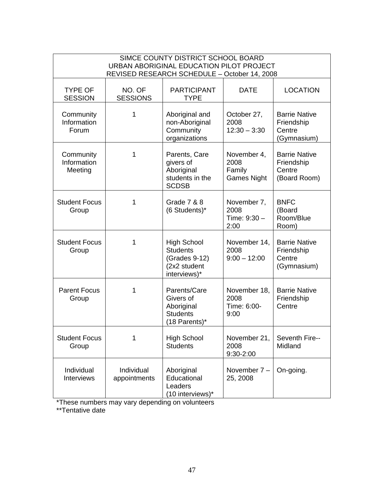| SIMCE COUNTY DISTRICT SCHOOL BOARD<br>URBAN ABORIGINAL EDUCATION PILOT PROJECT<br>REVISED RESEARCH SCHEDULE - October 14, 2008 |                            |                                                                                        |                                                     |                                                              |  |  |  |
|--------------------------------------------------------------------------------------------------------------------------------|----------------------------|----------------------------------------------------------------------------------------|-----------------------------------------------------|--------------------------------------------------------------|--|--|--|
| <b>TYPE OF</b><br><b>SESSION</b>                                                                                               | NO. OF<br><b>SESSIONS</b>  | <b>PARTICIPANT</b><br><b>TYPE</b>                                                      | <b>DATE</b>                                         | <b>LOCATION</b>                                              |  |  |  |
| Community<br>Information<br>Forum                                                                                              | 1                          | Aboriginal and<br>non-Aboriginal<br>Community<br>organizations                         | October 27,<br>2008<br>$12:30 - 3:30$               | <b>Barrie Native</b><br>Friendship<br>Centre<br>(Gymnasium)  |  |  |  |
| Community<br>Information<br>Meeting                                                                                            | 1                          | Parents, Care<br>givers of<br>Aboriginal<br>students in the<br><b>SCDSB</b>            | November 4,<br>2008<br>Family<br><b>Games Night</b> | <b>Barrie Native</b><br>Friendship<br>Centre<br>(Board Room) |  |  |  |
| <b>Student Focus</b><br>Group                                                                                                  | 1                          | Grade 7 & 8<br>(6 Students)*                                                           | November 7,<br>2008<br>Time: $9:30 -$<br>2:00       | <b>BNFC</b><br>(Board<br>Room/Blue<br>Room)                  |  |  |  |
| <b>Student Focus</b><br>Group                                                                                                  | 1                          | <b>High School</b><br><b>Students</b><br>(Grades 9-12)<br>(2x2 student<br>interviews)* | November 14,<br>2008<br>$9:00 - 12:00$              | <b>Barrie Native</b><br>Friendship<br>Centre<br>(Gymnasium)  |  |  |  |
| <b>Parent Focus</b><br>Group                                                                                                   | 1                          | Parents/Care<br>Givers of<br>Aboriginal<br><b>Students</b><br>(18 Parents)*            | November 18,<br>2008<br>Time: 6:00-<br>9:00         | <b>Barrie Native</b><br>Friendship<br>Centre                 |  |  |  |
| <b>Student Focus</b><br>Group                                                                                                  | 1                          | <b>High School</b><br><b>Students</b>                                                  | November 21,<br>2008<br>9:30-2:00                   | Seventh Fire--<br>Midland                                    |  |  |  |
| Individual<br>Interviews                                                                                                       | Individual<br>appointments | Aboriginal<br>Educational<br>Leaders<br>(10 interviews)*                               | November 7 -<br>25, 2008                            | On-going.                                                    |  |  |  |

\*These numbers may vary depending on volunteers

\*\*Tentative date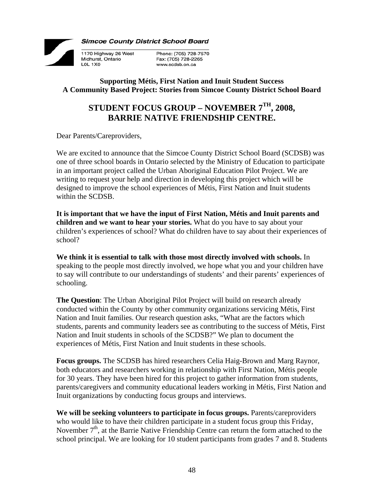

**Simcoe County District School Board** 

Phone: (705) 728-7570 Fax: (705) 728-2265 www.scdsb.on.ca

## **Supporting Métis, First Nation and Inuit Student Success A Community Based Project: Stories from Simcoe County District School Board**

## **STUDENT FOCUS GROUP – NOVEMBER 7TH, 2008, BARRIE NATIVE FRIENDSHIP CENTRE.**

Dear Parents/Careproviders,

1170 Highway 26 West

Midhurst, Ontario LOL 1X0

We are excited to announce that the Simcoe County District School Board (SCDSB) was one of three school boards in Ontario selected by the Ministry of Education to participate in an important project called the Urban Aboriginal Education Pilot Project. We are writing to request your help and direction in developing this project which will be designed to improve the school experiences of Métis, First Nation and Inuit students within the SCDSB.

**It is important that we have the input of First Nation, Métis and Inuit parents and children and we want to hear your stories.** What do you have to say about your children's experiences of school? What do children have to say about their experiences of school?

**We think it is essential to talk with those most directly involved with schools.** In speaking to the people most directly involved, we hope what you and your children have to say will contribute to our understandings of students' and their parents' experiences of schooling.

**The Question**: The Urban Aboriginal Pilot Project will build on research already conducted within the County by other community organizations servicing Métis, First Nation and Inuit families. Our research question asks, "What are the factors which students, parents and community leaders see as contributing to the success of Métis, First Nation and Inuit students in schools of the SCDSB?" We plan to document the experiences of Métis, First Nation and Inuit students in these schools.

**Focus groups.** The SCDSB has hired researchers Celia Haig-Brown and Marg Raynor, both educators and researchers working in relationship with First Nation, Métis people for 30 years. They have been hired for this project to gather information from students, parents/caregivers and community educational leaders working in Métis, First Nation and Inuit organizations by conducting focus groups and interviews.

**We will be seeking volunteers to participate in focus groups.** Parents/careproviders who would like to have their children participate in a student focus group this Friday, November  $7<sup>th</sup>$ , at the Barrie Native Friendship Centre can return the form attached to the school principal. We are looking for 10 student participants from grades 7 and 8. Students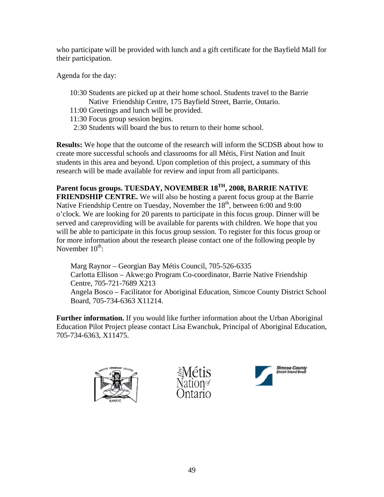who participate will be provided with lunch and a gift certificate for the Bayfield Mall for their participation.

Agenda for the day:

- 10:30 Students are picked up at their home school. Students travel to the Barrie Native Friendship Centre, 175 Bayfield Street, Barrie, Ontario.
- 11:00 Greetings and lunch will be provided.
- 11:30 Focus group session begins.
- 2:30 Students will board the bus to return to their home school.

**Results:** We hope that the outcome of the research will inform the SCDSB about how to create more successful schools and classrooms for all Métis, First Nation and Inuit students in this area and beyond. Upon completion of this project, a summary of this research will be made available for review and input from all participants.

Parent focus groups. TUESDAY, NOVEMBER 18<sup>TH</sup>, 2008, BARRIE NATIVE **FRIENDSHIP CENTRE.** We will also be hosting a parent focus group at the Barrie Native Friendship Centre on Tuesday, November the  $18<sup>th</sup>$ , between 6:00 and 9:00 o'clock. We are looking for 20 parents to participate in this focus group. Dinner will be served and careproviding will be available for parents with children. We hope that you will be able to participate in this focus group session. To register for this focus group or for more information about the research please contact one of the following people by November  $10^{th}$ :

Marg Raynor – Georgian Bay Métis Council, 705-526-6335 Carlotta Ellison – Akwe:go Program Co-coordinator, Barrie Native Friendship Centre, 705-721-7689 X213 Angela Bosco – Facilitator for Aboriginal Education, Simcoe County District School Board, 705-734-6363 X11214.

**Further information.** If you would like further information about the Urban Aboriginal Education Pilot Project please contact Lisa Ewanchuk, Principal of Aboriginal Education, 705-734-6363, X11475.





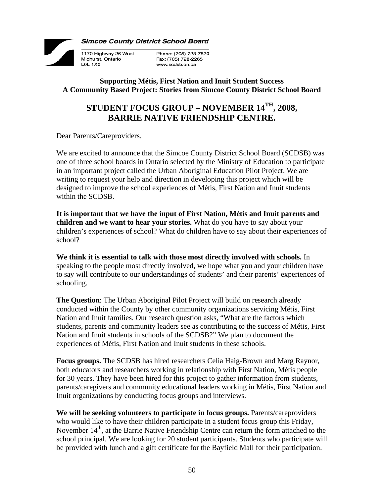

**Simcoe County District School Board** 

Phone: (705) 728-7570 Fax: (705) 728-2265 www.scdsb.on.ca

## **Supporting Métis, First Nation and Inuit Student Success A Community Based Project: Stories from Simcoe County District School Board**

## **STUDENT FOCUS GROUP – NOVEMBER 14TH, 2008, BARRIE NATIVE FRIENDSHIP CENTRE.**

Dear Parents/Careproviders,

1170 Highway 26 West

Midhurst, Ontario LOL 1X0

We are excited to announce that the Simcoe County District School Board (SCDSB) was one of three school boards in Ontario selected by the Ministry of Education to participate in an important project called the Urban Aboriginal Education Pilot Project. We are writing to request your help and direction in developing this project which will be designed to improve the school experiences of Métis, First Nation and Inuit students within the SCDSB.

**It is important that we have the input of First Nation, Métis and Inuit parents and children and we want to hear your stories.** What do you have to say about your children's experiences of school? What do children have to say about their experiences of school?

**We think it is essential to talk with those most directly involved with schools.** In speaking to the people most directly involved, we hope what you and your children have to say will contribute to our understandings of students' and their parents' experiences of schooling.

**The Question**: The Urban Aboriginal Pilot Project will build on research already conducted within the County by other community organizations servicing Métis, First Nation and Inuit families. Our research question asks, "What are the factors which students, parents and community leaders see as contributing to the success of Métis, First Nation and Inuit students in schools of the SCDSB?" We plan to document the experiences of Métis, First Nation and Inuit students in these schools.

**Focus groups.** The SCDSB has hired researchers Celia Haig-Brown and Marg Raynor, both educators and researchers working in relationship with First Nation, Métis people for 30 years. They have been hired for this project to gather information from students, parents/caregivers and community educational leaders working in Métis, First Nation and Inuit organizations by conducting focus groups and interviews.

**We will be seeking volunteers to participate in focus groups.** Parents/careproviders who would like to have their children participate in a student focus group this Friday, November  $14<sup>th</sup>$ , at the Barrie Native Friendship Centre can return the form attached to the school principal. We are looking for 20 student participants. Students who participate will be provided with lunch and a gift certificate for the Bayfield Mall for their participation.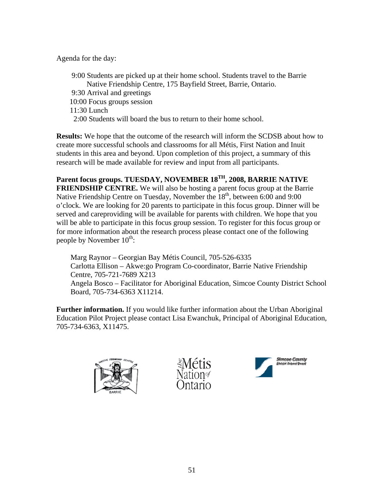Agenda for the day:

 9:00 Students are picked up at their home school. Students travel to the Barrie Native Friendship Centre, 175 Bayfield Street, Barrie, Ontario. 9:30 Arrival and greetings 10:00 Focus groups session 11:30 Lunch 2:00 Students will board the bus to return to their home school.

**Results:** We hope that the outcome of the research will inform the SCDSB about how to create more successful schools and classrooms for all Métis, First Nation and Inuit students in this area and beyond. Upon completion of this project, a summary of this research will be made available for review and input from all participants.

**Parent focus groups. TUESDAY, NOVEMBER 18TH, 2008, BARRIE NATIVE FRIENDSHIP CENTRE.** We will also be hosting a parent focus group at the Barrie Native Friendship Centre on Tuesday, November the 18<sup>th</sup>, between 6:00 and 9:00 o'clock. We are looking for 20 parents to participate in this focus group. Dinner will be served and careproviding will be available for parents with children. We hope that you will be able to participate in this focus group session. To register for this focus group or for more information about the research process please contact one of the following people by November  $10^{th}$ :

Marg Raynor – Georgian Bay Métis Council, 705-526-6335 Carlotta Ellison – Akwe:go Program Co-coordinator, Barrie Native Friendship Centre, 705-721-7689 X213 Angela Bosco – Facilitator for Aboriginal Education, Simcoe County District School Board, 705-734-6363 X11214.

**Further information.** If you would like further information about the Urban Aboriginal Education Pilot Project please contact Lisa Ewanchuk, Principal of Aboriginal Education, 705-734-6363, X11475.





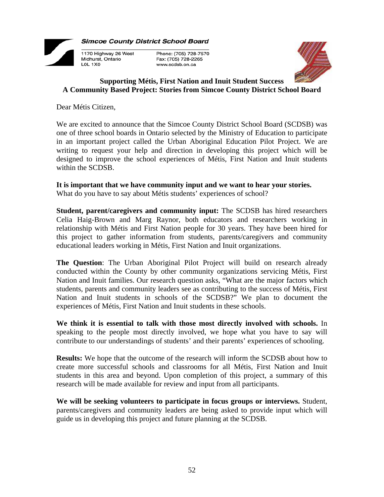

**Simcoe County District School Board** 

1170 Highway 26 West Phone: (705) 728-7570 Fax: (705) 728-2265 www.scdsb.on.ca



#### **Supporting Métis, First Nation and Inuit Student Success A Community Based Project: Stories from Simcoe County District School Board**

Dear Métis Citizen,

Midhurst, Ontario LOL 1X0

We are excited to announce that the Simcoe County District School Board (SCDSB) was one of three school boards in Ontario selected by the Ministry of Education to participate in an important project called the Urban Aboriginal Education Pilot Project. We are writing to request your help and direction in developing this project which will be designed to improve the school experiences of Métis, First Nation and Inuit students within the SCDSB.

**It is important that we have community input and we want to hear your stories.**  What do you have to say about Métis students' experiences of school?

**Student, parent/caregivers and community input:** The SCDSB has hired researchers Celia Haig-Brown and Marg Raynor, both educators and researchers working in relationship with Métis and First Nation people for 30 years. They have been hired for this project to gather information from students, parents/caregivers and community educational leaders working in Métis, First Nation and Inuit organizations.

**The Question**: The Urban Aboriginal Pilot Project will build on research already conducted within the County by other community organizations servicing Métis, First Nation and Inuit families. Our research question asks, "What are the major factors which students, parents and community leaders see as contributing to the success of Métis, First Nation and Inuit students in schools of the SCDSB?" We plan to document the experiences of Métis, First Nation and Inuit students in these schools.

**We think it is essential to talk with those most directly involved with schools.** In speaking to the people most directly involved, we hope what you have to say will contribute to our understandings of students' and their parents' experiences of schooling.

**Results:** We hope that the outcome of the research will inform the SCDSB about how to create more successful schools and classrooms for all Métis, First Nation and Inuit students in this area and beyond. Upon completion of this project, a summary of this research will be made available for review and input from all participants.

**We will be seeking volunteers to participate in focus groups or interviews.** Student, parents/caregivers and community leaders are being asked to provide input which will guide us in developing this project and future planning at the SCDSB.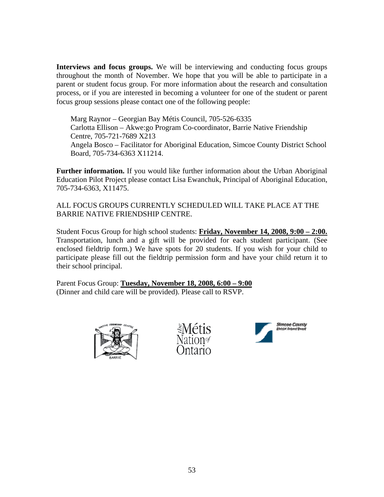**Interviews and focus groups.** We will be interviewing and conducting focus groups throughout the month of November. We hope that you will be able to participate in a parent or student focus group. For more information about the research and consultation process, or if you are interested in becoming a volunteer for one of the student or parent focus group sessions please contact one of the following people:

Marg Raynor – Georgian Bay Métis Council, 705-526-6335 Carlotta Ellison – Akwe:go Program Co-coordinator, Barrie Native Friendship Centre, 705-721-7689 X213 Angela Bosco – Facilitator for Aboriginal Education, Simcoe County District School Board, 705-734-6363 X11214.

**Further information.** If you would like further information about the Urban Aboriginal Education Pilot Project please contact Lisa Ewanchuk, Principal of Aboriginal Education, 705-734-6363, X11475.

ALL FOCUS GROUPS CURRENTLY SCHEDULED WILL TAKE PLACE AT THE BARRIE NATIVE FRIENDSHIP CENTRE.

Student Focus Group for high school students: **Friday, November 14, 2008, 9:00 – 2:00.** Transportation, lunch and a gift will be provided for each student participant. (See enclosed fieldtrip form.) We have spots for 20 students. If you wish for your child to participate please fill out the fieldtrip permission form and have your child return it to their school principal.

Parent Focus Group: **Tuesday, November 18, 2008, 6:00 – 9:00** (Dinner and child care will be provided). Please call to RSVP.





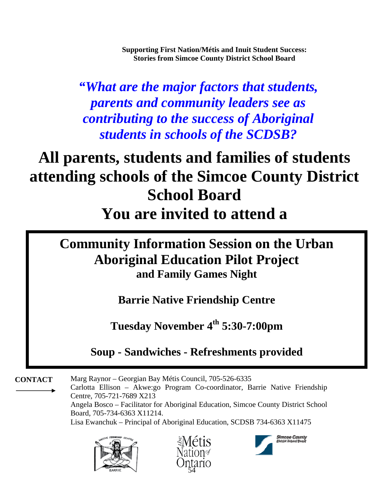**Supporting First Nation/Métis and Inuit Student Success: Stories from Simcoe County District School Board**

*"What are the major factors that students, parents and community leaders see as contributing to the success of Aboriginal students in schools of the SCDSB?*

# **All parents, students and families of students attending schools of the Simcoe County District School Board You are invited to attend a**

## **Community Information Session on the Urban Aboriginal Education Pilot Project and Family Games Night**

**Barrie Native Friendship Centre** 

**Tuesday November 4th 5:30-7:00pm** 

**Soup - Sandwiches - Refreshments provided** 

Marg Raynor – Georgian Bay Métis Council, 705-526-6335 Carlotta Ellison – Akwe:go Program Co-coordinator, Barrie Native Friendship Centre, 705-721-7689 X213 **CONTACT**  Angela Bosco – Facilitator for Aboriginal Education, Simcoe County District School Board, 705-734-6363 X11214. Lisa Ewanchuk – Principal of Aboriginal Education, SCDSB 734-6363 X11475





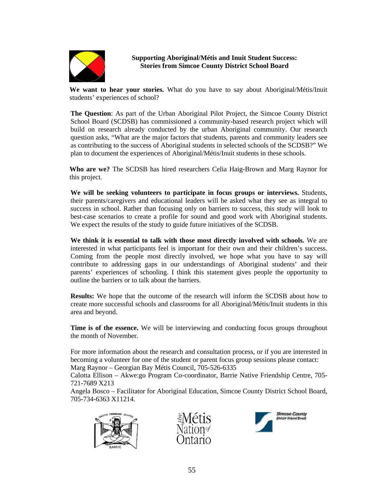

#### **Supporting Aboriginal/Métis and Inuit Student Success: Stories from Simcoe County District School Board**

**We want to hear your stories.** What do you have to say about Aboriginal/Métis/Inuit students' experiences of school?

**The Question**: As part of the Urban Aboriginal Pilot Project, the Simcoe County District School Board (SCDSB) has commissioned a community-based research project which will build on research already conducted by the urban Aboriginal community. Our research question asks, "What are the major factors that students, parents and community leaders see as contributing to the success of Aboriginal students in selected schools of the SCDSB?" We plan to document the experiences of Aboriginal/Métis/Inuit students in these schools.

**Who are we?** The SCDSB has hired researchers Celia Haig-Brown and Marg Raynor for this project.

**We will be seeking volunteers to participate in focus groups or interviews.** Students, their parents/caregivers and educational leaders will be asked what they see as integral to success in school. Rather than focusing only on barriers to success, this study will look to best-case scenarios to create a profile for sound and good work with Aboriginal students. We expect the results of the study to guide future initiatives of the SCDSB.

**We think it is essential to talk with those most directly involved with schools.** We are interested in what participants feel is important for their own and their children's success. Coming from the people most directly involved, we hope what you have to say will contribute to addressing gaps in our understandings of Aboriginal students' and their parents' experiences of schooling. I think this statement gives people the opportunity to outline the barriers or to talk about the barriers.

**Results:** We hope that the outcome of the research will inform the SCDSB about how to create more successful schools and classrooms for all Aboriginal/Métis/Inuit students in this area and beyond.

**Time is of the essence.** We will be interviewing and conducting focus groups throughout the month of November.

For more information about the research and consultation process, or if you are interested in becoming a volunteer for one of the student or parent focus group sessions please contact: Marg Raynor – Georgian Bay Métis Council, 705-526-6335

Calotta Ellison – Akwe:go Program Co-coordinator, Barrie Native Friendship Centre, 705-

721-7689 X213

Angela Bosco – Facilitator for Aboriginal Education, Simcoe County District School Board, 705-734-6363 X11214.





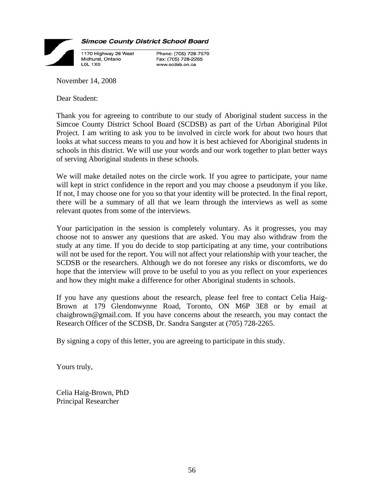

**Simcoe County District School Board** 

Phone: (705) 728-7570 Fax: (705) 728-2265 www.scdsb.on.ca

November 14, 2008

Dear Student:

Thank you for agreeing to contribute to our study of Aboriginal student success in the Simcoe County District School Board (SCDSB) as part of the Urban Aboriginal Pilot Project. I am writing to ask you to be involved in circle work for about two hours that looks at what success means to you and how it is best achieved for Aboriginal students in schools in this district. We will use your words and our work together to plan better ways of serving Aboriginal students in these schools.

We will make detailed notes on the circle work. If you agree to participate, your name will kept in strict confidence in the report and you may choose a pseudonym if you like. If not, I may choose one for you so that your identity will be protected. In the final report, there will be a summary of all that we learn through the interviews as well as some relevant quotes from some of the interviews.

Your participation in the session is completely voluntary. As it progresses, you may choose not to answer any questions that are asked. You may also withdraw from the study at any time. If you do decide to stop participating at any time, your contributions will not be used for the report. You will not affect your relationship with your teacher, the SCDSB or the researchers. Although we do not foresee any risks or discomforts, we do hope that the interview will prove to be useful to you as you reflect on your experiences and how they might make a difference for other Aboriginal students in schools.

If you have any questions about the research, please feel free to contact Celia Haig-Brown at 179 Glendonwynne Road, Toronto, ON M6P 3E8 or by email at chaigbrown@gmail.com. If you have concerns about the research, you may contact the Research Officer of the SCDSB, Dr. Sandra Sangster at (705) 728-2265.

By signing a copy of this letter, you are agreeing to participate in this study.

Yours truly,

Celia Haig-Brown, PhD Principal Researcher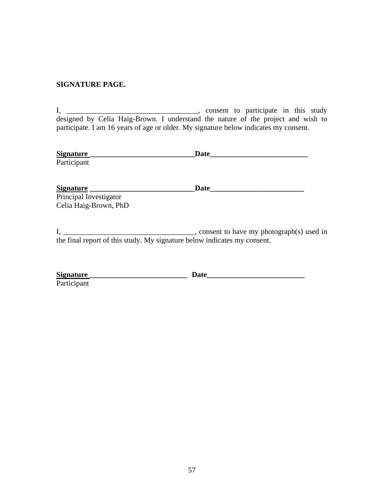#### **SIGNATURE PAGE.**

I, \_\_\_\_\_\_\_\_\_\_\_\_\_\_\_\_\_\_\_\_\_\_\_\_\_\_\_\_\_\_\_\_\_\_\_, consent to participate in this study designed by Celia Haig-Brown. I understand the nature of the project and wish to participate. I am 16 years of age or older. My signature below indicates my consent.

| <b>Signature</b>       | <b>Date</b> |  |
|------------------------|-------------|--|
| Participant            |             |  |
|                        |             |  |
| <b>Signature</b>       | <b>Date</b> |  |
| Principal Investigator |             |  |
| Celia Haig-Brown, PhD  |             |  |

I, \_\_\_\_\_\_\_\_\_\_\_\_\_\_\_\_\_\_\_\_\_\_\_\_\_\_\_\_\_\_\_\_\_\_\_, consent to have my photograph(s) used in the final report of this study. My signature below indicates my consent.

| <b>Signature</b> | Jate |
|------------------|------|
| Participant      |      |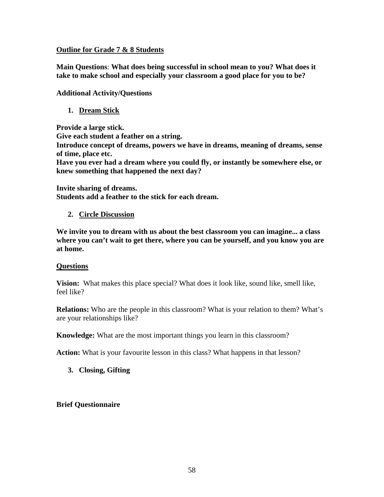#### **Outline for Grade 7 & 8 Students**

**Main Questions**: **What does being successful in school mean to you? What does it take to make school and especially your classroom a good place for you to be?**

**Additional Activity/Questions** 

#### **1. Dream Stick**

**Provide a large stick. Give each student a feather on a string. Introduce concept of dreams, powers we have in dreams, meaning of dreams, sense of time, place etc. Have you ever had a dream where you could fly, or instantly be somewhere else, or knew something that happened the next day?** 

**Invite sharing of dreams. Students add a feather to the stick for each dream.** 

#### **2. Circle Discussion**

**We invite you to dream with us about the best classroom you can imagine... a class where you can't wait to get there, where you can be yourself, and you know you are at home.** 

#### **Questions**

**Vision:** What makes this place special? What does it look like, sound like, smell like, feel like?

**Relations:** Who are the people in this classroom? What is your relation to them? What's are your relationships like?

**Knowledge:** What are the most important things you learn in this classroom?

**Action:** What is your favourite lesson in this class? What happens in that lesson?

**3. Closing, Gifting** 

**Brief Questionnaire**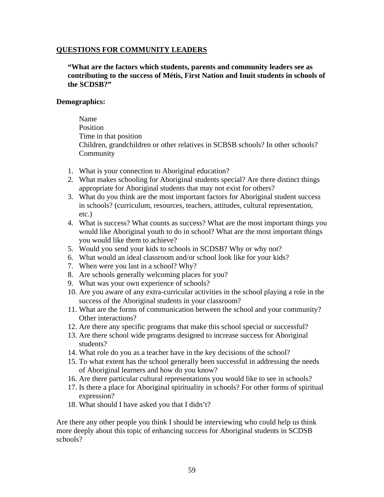#### **QUESTIONS FOR COMMUNITY LEADERS**

**"What are the factors which students, parents and community leaders see as contributing to the success of Métis, First Nation and Inuit students in schools of the SCDSB?"** 

#### **Demographics:**

 Name Position Time in that position Children, grandchildren or other relatives in SCBSB schools? In other schools? **Community** 

- 1. What is your connection to Aboriginal education?
- 2. What makes schooling for Aboriginal students special? Are there distinct things appropriate for Aboriginal students that may not exist for others?
- 3. What do you think are the most important factors for Aboriginal student success in schools? (curriculum, resources, teachers, attitudes, cultural representation, etc.)
- 4. What is success? What counts as success? What are the most important things you would like Aboriginal youth to do in school? What are the most important things you would like them to achieve?
- 5. Would you send your kids to schools in SCDSB? Why or why not?
- 6. What would an ideal classroom and/or school look like for your kids?
- 7. When were you last in a school? Why?
- 8. Are schools generally welcoming places for you?
- 9. What was your own experience of schools?
- 10. Are you aware of any extra-curricular activities in the school playing a role in the success of the Aboriginal students in your classroom?
- 11. What are the forms of communication between the school and your community? Other interactions?
- 12. Are there any specific programs that make this school special or successful?
- 13. Are there school wide programs designed to increase success for Aboriginal students?
- 14. What role do you as a teacher have in the key decisions of the school?
- 15. To what extent has the school generally been successful in addressing the needs of Aboriginal learners and how do you know?
- 16. Are there particular cultural representations you would like to see in schools?
- 17. Is there a place for Aboriginal spirituality in schools? For other forms of spiritual expression?
- 18. What should I have asked you that I didn't?

Are there any other people you think I should be interviewing who could help us think more deeply about this topic of enhancing success for Aboriginal students in SCDSB schools?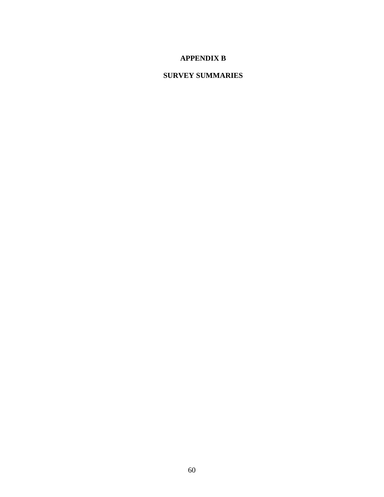## **APPENDIX B**

## **SURVEY SUMMARIES**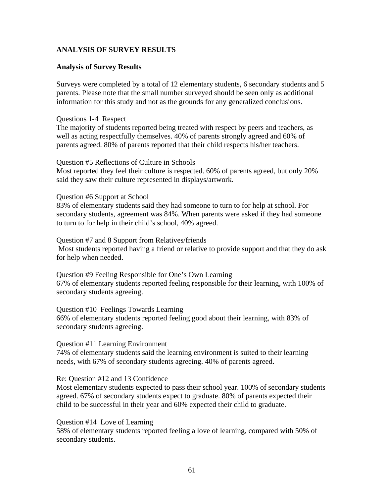#### **ANALYSIS OF SURVEY RESULTS**

#### **Analysis of Survey Results**

Surveys were completed by a total of 12 elementary students, 6 secondary students and 5 parents. Please note that the small number surveyed should be seen only as additional information for this study and not as the grounds for any generalized conclusions.

#### Questions 1-4 Respect

The majority of students reported being treated with respect by peers and teachers, as well as acting respectfully themselves. 40% of parents strongly agreed and 60% of parents agreed. 80% of parents reported that their child respects his/her teachers.

#### Question #5 Reflections of Culture in Schools

Most reported they feel their culture is respected. 60% of parents agreed, but only 20% said they saw their culture represented in displays/artwork.

#### Question #6 Support at School

83% of elementary students said they had someone to turn to for help at school. For secondary students, agreement was 84%. When parents were asked if they had someone to turn to for help in their child's school, 40% agreed.

#### Question #7 and 8 Support from Relatives/friends Most students reported having a friend or relative to provide support and that they do ask for help when needed.

Question #9 Feeling Responsible for One's Own Learning 67% of elementary students reported feeling responsible for their learning, with 100% of secondary students agreeing.

#### Question #10 Feelings Towards Learning

66% of elementary students reported feeling good about their learning, with 83% of secondary students agreeing.

#### Question #11 Learning Environment

74% of elementary students said the learning environment is suited to their learning needs, with 67% of secondary students agreeing. 40% of parents agreed.

#### Re: Question #12 and 13 Confidence

Most elementary students expected to pass their school year. 100% of secondary students agreed. 67% of secondary students expect to graduate. 80% of parents expected their child to be successful in their year and 60% expected their child to graduate.

#### Question #14 Love of Learning

58% of elementary students reported feeling a love of learning, compared with 50% of secondary students.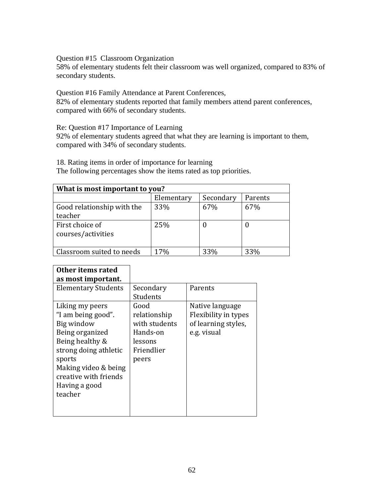Question #15 Classroom Organization

58% of elementary students felt their classroom was well organized, compared to 83% of secondary students.

Question #16 Family Attendance at Parent Conferences,

82% of elementary students reported that family members attend parent conferences, compared with 66% of secondary students.

Re: Question #17 Importance of Learning

92% of elementary students agreed that what they are learning is important to them, compared with 34% of secondary students.

18. Rating items in order of importance for learning The following percentages show the items rated as top priorities.

| What is most important to you?        |            |           |         |  |  |  |  |
|---------------------------------------|------------|-----------|---------|--|--|--|--|
|                                       | Elementary | Secondary | Parents |  |  |  |  |
| Good relationship with the<br>teacher | 33%        | 67%       | 67%     |  |  |  |  |
| First choice of<br>courses/activities | 25%        | O         |         |  |  |  |  |
| Classroom suited to needs             | 17%        | 33%       | 33%     |  |  |  |  |

| Other items rated          |               |                      |
|----------------------------|---------------|----------------------|
| as most important.         |               |                      |
| <b>Elementary Students</b> | Secondary     | Parents              |
|                            | Students      |                      |
| Liking my peers            | Good          | Native language      |
| "I am being good".         | relationship  | Flexibility in types |
| Big window                 | with students | of learning styles,  |
| Being organized            | Hands-on      | e.g. visual          |
| Being healthy &            | lessons       |                      |
| strong doing athletic      | Friendlier    |                      |
| sports                     | peers         |                      |
| Making video & being       |               |                      |
| creative with friends      |               |                      |
| Having a good              |               |                      |
| teacher                    |               |                      |
|                            |               |                      |
|                            |               |                      |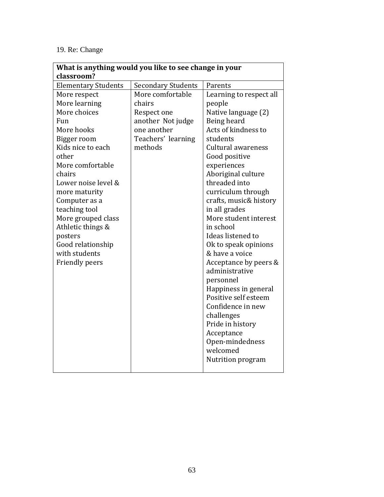## 19. Re: Change

| What is anything would you like to see change in your |                           |                         |  |  |  |  |  |
|-------------------------------------------------------|---------------------------|-------------------------|--|--|--|--|--|
| classroom?                                            |                           |                         |  |  |  |  |  |
| <b>Elementary Students</b>                            | <b>Secondary Students</b> | Parents                 |  |  |  |  |  |
| More respect                                          | More comfortable          | Learning to respect all |  |  |  |  |  |
| More learning                                         | chairs                    | people                  |  |  |  |  |  |
| More choices                                          | Respect one               | Native language (2)     |  |  |  |  |  |
| Fun                                                   | another Not judge         | Being heard             |  |  |  |  |  |
| More hooks                                            | one another               | Acts of kindness to     |  |  |  |  |  |
| Bigger room                                           | Teachers' learning        | students                |  |  |  |  |  |
| Kids nice to each                                     | methods                   | Cultural awareness      |  |  |  |  |  |
| other                                                 |                           | Good positive           |  |  |  |  |  |
| More comfortable                                      |                           | experiences             |  |  |  |  |  |
| chairs                                                |                           | Aboriginal culture      |  |  |  |  |  |
| Lower noise level &                                   |                           | threaded into           |  |  |  |  |  |
| more maturity                                         |                           | curriculum through      |  |  |  |  |  |
| Computer as a                                         |                           | crafts, music& history  |  |  |  |  |  |
| teaching tool                                         |                           | in all grades           |  |  |  |  |  |
| More grouped class                                    |                           | More student interest   |  |  |  |  |  |
| Athletic things &                                     |                           | in school               |  |  |  |  |  |
| posters                                               |                           | Ideas listened to       |  |  |  |  |  |
| Good relationship                                     |                           | Ok to speak opinions    |  |  |  |  |  |
| with students                                         |                           | & have a voice          |  |  |  |  |  |
| <b>Friendly peers</b>                                 |                           | Acceptance by peers &   |  |  |  |  |  |
|                                                       |                           | administrative          |  |  |  |  |  |
|                                                       |                           | personnel               |  |  |  |  |  |
|                                                       |                           | Happiness in general    |  |  |  |  |  |
|                                                       |                           | Positive self esteem    |  |  |  |  |  |
|                                                       |                           | Confidence in new       |  |  |  |  |  |
|                                                       |                           | challenges              |  |  |  |  |  |
|                                                       |                           | Pride in history        |  |  |  |  |  |
|                                                       |                           | Acceptance              |  |  |  |  |  |
|                                                       |                           | Open-mindedness         |  |  |  |  |  |
|                                                       |                           | welcomed                |  |  |  |  |  |
|                                                       |                           | Nutrition program       |  |  |  |  |  |
|                                                       |                           |                         |  |  |  |  |  |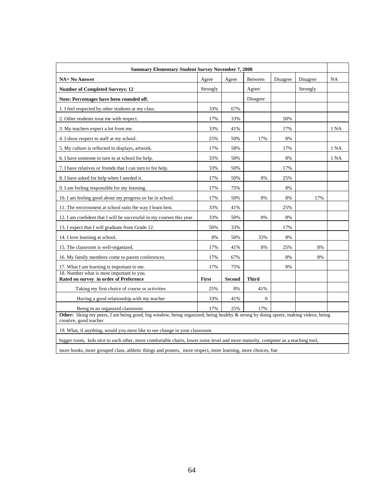| <b>Summary Elementary Student Survey November 7, 2008</b>                                                                                                    |          |               |                |          |          |      |  |
|--------------------------------------------------------------------------------------------------------------------------------------------------------------|----------|---------------|----------------|----------|----------|------|--|
| <b>NA= No Answer</b>                                                                                                                                         | Agree    | Agree         | <b>Between</b> | Disagree | Disagree | NA   |  |
| <b>Number of Completed Surveys: 12</b>                                                                                                                       | Strongly |               | Agree/         |          | Strongly |      |  |
| Note: Percentages have been rounded off.                                                                                                                     |          |               | Disagree       |          |          |      |  |
| 1. I feel respected by other students at my class.                                                                                                           | 33%      | 67%           |                |          |          |      |  |
| 2. Other students treat me with respect.                                                                                                                     | 17%      | 33%           |                | 50%      |          |      |  |
| 3. My teachers expect a lot from me.                                                                                                                         | 33%      | 41%           |                | 17%      |          | 1 NA |  |
| 4. I show respect to staff at my school.                                                                                                                     | 25%      | 50%           | 17%            | 8%       |          |      |  |
| 5. My culture is reflected in displays, artwork.                                                                                                             | 17%      | 58%           |                | 17%      |          | 1 NA |  |
| 6. I have someone to turn to at school for help.                                                                                                             | 33%      | 50%           |                | 8%       |          | 1 NA |  |
| 7. I have relatives or friends that I can turn to for help.                                                                                                  | 33%      | 50%           |                | 17%      |          |      |  |
| 8. I have asked for help when I needed it.                                                                                                                   | 17%      | 50%           | 8%             | 25%      |          |      |  |
| 9. I am feeling responsible for my learning.                                                                                                                 | 17%      | 75%           |                | 8%       |          |      |  |
| 10. I am feeling good about my progress so far in school.                                                                                                    | 17%      | 50%           | 8%             | 8%       | 17%      |      |  |
| 11. The environment at school suits the way I learn best.                                                                                                    | 33%      | 41%           |                | 25%      |          |      |  |
| 12. I am confident that I will be successful in my courses this year.                                                                                        | 33%      | 50%           | 8%             | 8%       |          |      |  |
| 13. I expect that I will graduate from Grade 12.                                                                                                             | 50%      | 33%           |                | 17%      |          |      |  |
| 14. I love learning at school.                                                                                                                               | 8%       | 50%           | 33%            | 8%       |          |      |  |
| 15. The classroom is well-organized.                                                                                                                         | 17%      | 41%           | 8%             | 25%      | 8%       |      |  |
| 16. My family members come to parent conferences.                                                                                                            | 17%      | 67%           |                | 8%       | 8%       |      |  |
| 17. What I am learning is important to me.                                                                                                                   | 17%      | 75%           |                | 8%       |          |      |  |
| 18. Number what is most important to you.<br>Rated on survey in order of Preference                                                                          | First    | <b>Second</b> | <b>Third</b>   |          |          |      |  |
| Taking my first choice of course or activities                                                                                                               | 25%      | 8%            | 41%            |          |          |      |  |
| Having a good relationship with my teacher                                                                                                                   | 33%      | 41%           | $\overline{0}$ |          |          |      |  |
| Being in an organized classroom                                                                                                                              | 17%      | 25%           | 17%            |          |          |      |  |
| Other: liking my peers, I am being good, big window, being organized, being healthy & strong by doing sports, making videos, being<br>creative, good teacher |          |               |                |          |          |      |  |
| 19. What, if anything, would you most like to see change in your classroom                                                                                   |          |               |                |          |          |      |  |
| bigger room, kids nice to each other, more comfortable chairs, lower noise level and more maturity, computer as a teaching tool,                             |          |               |                |          |          |      |  |

more hooks, more grouped class, athletic things and posters, more respect, more learning, more choices, fun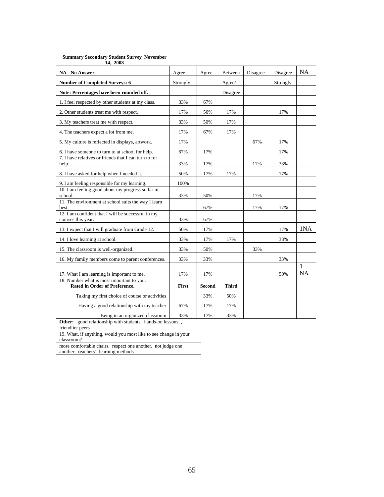| <b>Summary Secondary Student Survey November</b><br>14, 2008                                                                                                     |              |               |              |          |          |                |
|------------------------------------------------------------------------------------------------------------------------------------------------------------------|--------------|---------------|--------------|----------|----------|----------------|
| <b>NA= No Answer</b>                                                                                                                                             | Agree        | Agree         | Between      | Disagree | Disagree | <b>NA</b>      |
| <b>Number of Completed Surveys: 6</b>                                                                                                                            | Strongly     |               | Agree/       |          | Strongly |                |
| Note: Percentages have been rounded off.                                                                                                                         |              |               | Disagree     |          |          |                |
| 1. I feel respected by other students at my class.                                                                                                               | 33%          | 67%           |              |          |          |                |
| 2. Other students treat me with respect.                                                                                                                         | 17%          | 50%           | 17%          |          | 17%      |                |
| 3. My teachers treat me with respect.                                                                                                                            | 33%          | 50%           | 17%          |          |          |                |
| 4. The teachers expect a lot from me.                                                                                                                            | 17%          | 67%           | 17%          |          |          |                |
| 5. My culture is reflected in displays, artwork.                                                                                                                 | 17%          |               |              | 67%      | 17%      |                |
| 6. I have someone to turn to at school for help.                                                                                                                 | 67%          | 17%           |              |          | 17%      |                |
| 7. I have relatives or friends that I can turn to for<br>help.                                                                                                   | 33%          | 17%           |              | 17%      | 33%      |                |
| 8. I have asked for help when I needed it.                                                                                                                       | 50%          | 17%           | 17%          |          | 17%      |                |
| 9. I am feeling responsible for my learning.                                                                                                                     | 100%         |               |              |          |          |                |
| 10. I am feeling good about my progress so far in<br>school.                                                                                                     | 33%          | 50%           |              | 17%      |          |                |
| 11. The environment at school suits the way I learn<br>best.                                                                                                     |              | 67%           |              | 17%      | 17%      |                |
| 12. I am confident that I will be successful in my<br>courses this year.                                                                                         | 33%          | 67%           |              |          |          |                |
| 13. I expect that I will graduate from Grade 12.                                                                                                                 | 50%          | 17%           |              |          | 17%      | 1NA            |
| 14. I love learning at school.                                                                                                                                   | 33%          | 17%           | 17%          |          | 33%      |                |
| 15. The classroom is well-organized.                                                                                                                             | 33%          | 50%           |              | 33%      |          |                |
| 16. My family members come to parent conferences.                                                                                                                | 33%          | 33%           |              |          | 33%      |                |
| 17. What I am learning is important to me.                                                                                                                       | 17%          | 17%           |              |          | 50%      | 1<br><b>NA</b> |
| 18. Number what is most important to you.<br><b>Rated in Order of Preference.</b>                                                                                | <b>First</b> | <b>Second</b> | <b>Third</b> |          |          |                |
| Taking my first choice of course or activities                                                                                                                   |              | 33%           | 50%          |          |          |                |
| Having a good relationship with my teacher                                                                                                                       | 67%          | 17%           | 17%          |          |          |                |
| Being in an organized classroom                                                                                                                                  | 33%          | 17%           | 33%          |          |          |                |
| Other: good relationship with students, hands-on lessons,,<br>friendlier peers<br>19. What, if anything, would you most like to see change in your<br>classroom? |              |               |              |          |          |                |
| more comfortable chairs, respect one another, not judge one                                                                                                      |              |               |              |          |          |                |

another, **t**eachers' learning methods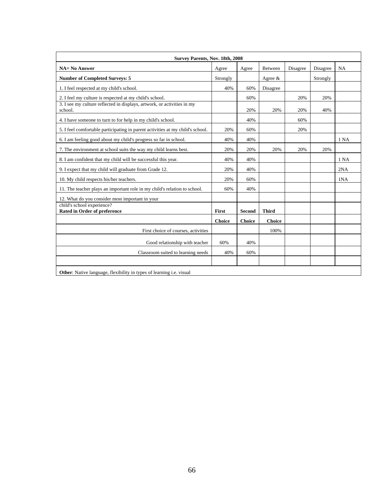| Survey Parents, Nov. 18th, 2008                                                    |               |               |               |          |          |      |  |
|------------------------------------------------------------------------------------|---------------|---------------|---------------|----------|----------|------|--|
| <b>NA= No Answer</b>                                                               | Agree         | Agree         | Between       | Disagree | Disagree | NA   |  |
| <b>Number of Completed Surveys: 5</b>                                              | Strongly      |               | Agree $\&$    |          | Strongly |      |  |
| 1. I feel respected at my child's school.                                          | 40%           | 60%           | Disagree      |          |          |      |  |
| 2. I feel my culture is respected at my child's school.                            |               | 60%           |               | 20%      | 20%      |      |  |
| 3. I see my culture reflected in displays, artwork, or activities in my<br>school. |               | 20%           | 20%           | 20%      | 40%      |      |  |
| 4. I have someone to turn to for help in my child's school.                        |               | 40%           |               | 60%      |          |      |  |
| 5. I feel comfortable participating in parent activities at my child's school.     | 20%           | 60%           |               | 20%      |          |      |  |
| 6. I am feeling good about my child's progress so far in school.                   | 40%           | 40%           |               |          |          | 1 NA |  |
| 7. The environment at school suits the way my child learns best.                   | 20%           | 20%           | 20%           | 20%      | 20%      |      |  |
| 8. I am confident that my child will be successful this year.                      | 40%           | 40%           |               |          |          | 1 NA |  |
| 9. I expect that my child will graduate from Grade 12.                             | 20%           | 40%           |               |          |          | 2NA  |  |
| 10. My child respects his/her teachers.                                            | 20%           | 60%           |               |          |          | 1NA  |  |
| 11. The teacher plays an important role in my child's relation to school.          | 60%           | 40%           |               |          |          |      |  |
| 12. What do you consider most important in your                                    |               |               |               |          |          |      |  |
| child's school experience?<br><b>Rated in Order of preference</b>                  | First         | Second        | <b>Third</b>  |          |          |      |  |
|                                                                                    | <b>Choice</b> | <b>Choice</b> | <b>Choice</b> |          |          |      |  |
| First choice of courses, activities                                                |               |               | 100%          |          |          |      |  |
| Good relationship with teacher                                                     | 60%           | 40%           |               |          |          |      |  |
| Classroom suited to learning needs                                                 | 40%           | 60%           |               |          |          |      |  |
|                                                                                    |               |               |               |          |          |      |  |
| <b>Other:</b> Native language, flexibility in types of learning <i>i.e.</i> visual |               |               |               |          |          |      |  |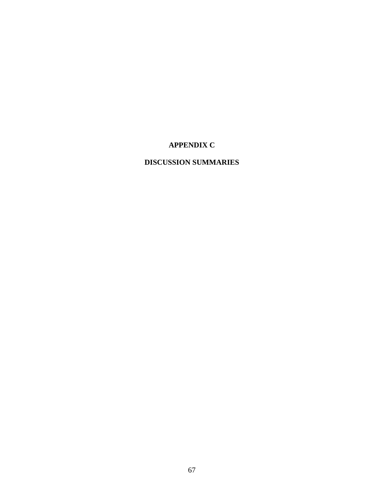## **APPENDIX C**

## **DISCUSSION SUMMARIES**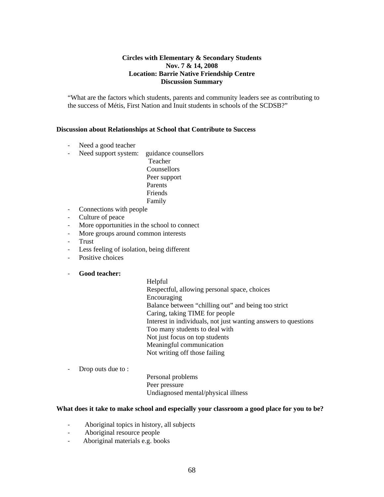#### **Circles with Elementary & Secondary Students Nov. 7 & 14, 2008 Location: Barrie Native Friendship Centre Discussion Summary**

"What are the factors which students, parents and community leaders see as contributing to the success of Métis, First Nation and Inuit students in schools of the SCDSB?"

#### **Discussion about Relationships at School that Contribute to Success**

- Need a good teacher
- ‐ Need support system: guidance counsellors

 Teacher Counsellors Peer support Parents Friends Family

- ‐ Connections with people
- ‐ Culture of peace
- ‐ More opportunities in the school to connect
- ‐ More groups around common interests
- **Trust**
- ‐ Less feeling of isolation, being different
- ‐ Positive choices

#### ‐ **Good teacher:**

Helpful Respectful, allowing personal space, choices Encouraging Balance between "chilling out" and being too strict Caring, taking TIME for people Interest in individuals, not just wanting answers to questions Too many students to deal with Not just focus on top students Meaningful communication Not writing off those failing

‐ Drop outs due to :

Personal problems Peer pressure Undiagnosed mental/physical illness

#### **What does it take to make school and especially your classroom a good place for you to be?**

- ‐ Aboriginal topics in history, all subjects
- ‐ Aboriginal resource people
- ‐ Aboriginal materials e.g. books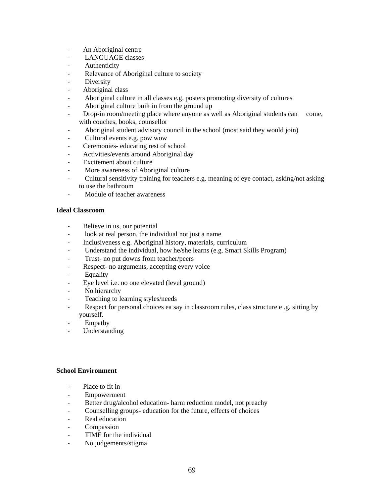- ‐ An Aboriginal centre
- ‐ LANGUAGE classes
- ‐ Authenticity
- ‐ Relevance of Aboriginal culture to society
- ‐ Diversity
- ‐ Aboriginal class
- ‐ Aboriginal culture in all classes e.g. posters promoting diversity of cultures
- ‐ Aboriginal culture built in from the ground up
- Drop-in room/meeting place where anyone as well as Aboriginal students can come, with couches, books, counsellor
- ‐ Aboriginal student advisory council in the school (most said they would join)
- ‐ Cultural events e.g. pow wow
- ‐ Ceremonies- educating rest of school
- ‐ Activities/events around Aboriginal day
- Excitement about culture
- ‐ More awareness of Aboriginal culture
- ‐ Cultural sensitivity training for teachers e.g. meaning of eye contact, asking/not asking to use the bathroom
- ‐ Module of teacher awareness

#### **Ideal Classroom**

- ‐ Believe in us, our potential
- ‐ look at real person, the individual not just a name
- ‐ Inclusiveness e.g. Aboriginal history, materials, curriculum
- Understand the individual, how he/she learns (e.g. Smart Skills Program)
- ‐ Trust- no put downs from teacher/peers
- ‐ Respect- no arguments, accepting every voice
- ‐ Equality
- ‐ Eye level i.e. no one elevated (level ground)
- No hierarchy
- ‐ Teaching to learning styles/needs
- Respect for personal choices ea say in classroom rules, class structure e .g. sitting by yourself.
- **Empathy**
- **Understanding**

#### **School Environment**

- Place to fit in
- ‐ Empowerment
- Better drug/alcohol education- harm reduction model, not preachy
- ‐ Counselling groups- education for the future, effects of choices
- ‐ Real education
- ‐ Compassion
- ‐ TIME for the individual
- ‐ No judgements/stigma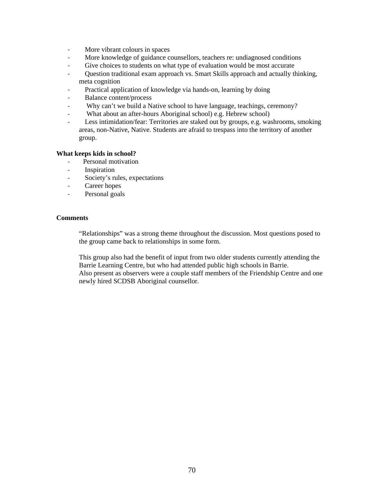- ‐ More vibrant colours in spaces
- ‐ More knowledge of guidance counsellors, teachers re: undiagnosed conditions
- ‐ Give choices to students on what type of evaluation would be most accurate
- ‐ Question traditional exam approach vs. Smart Skills approach and actually thinking, meta cognition
- Practical application of knowledge via hands-on, learning by doing
- ‐ Balance content/process
- Why can't we build a Native school to have language, teachings, ceremony?
- ‐ What about an after-hours Aboriginal school) e.g. Hebrew school)
- Less intimidation/fear: Territories are staked out by groups, e.g. washrooms, smoking areas, non-Native, Native. Students are afraid to trespass into the territory of another group.

#### **What keeps kids in school?**

- ‐ Personal motivation
- ‐ Inspiration
- ‐ Society's rules, expectations
- ‐ Career hopes
- ‐ Personal goals

#### **Comments**

"Relationships" was a strong theme throughout the discussion. Most questions posed to the group came back to relationships in some form.

This group also had the benefit of input from two older students currently attending the Barrie Learning Centre, but who had attended public high schools in Barrie. Also present as observers were a couple staff members of the Friendship Centre and one newly hired SCDSB Aboriginal counsellor.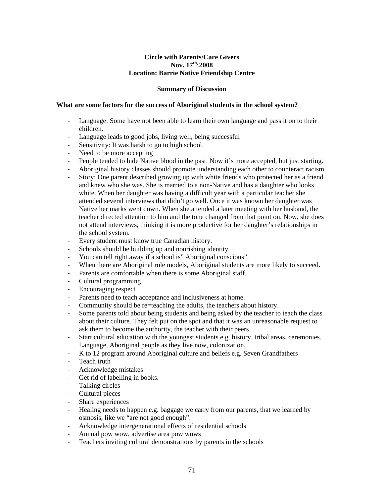#### **Circle with Parents/Care Givers Nov. 17th, 2008 Location: Barrie Native Friendship Centre**

#### **Summary of Discussion**

#### **What are some factors for the success of Aboriginal students in the school system?**

- ‐ Language: Some have not been able to learn their own language and pass it on to their children.
- ‐ Language leads to good jobs, living well, being successful
- Sensitivity: It was harsh to go to high school.
- Need to be more accepting
- ‐ People tended to hide Native blood in the past. Now it's more accepted, but just starting.
- ‐ Aboriginal history classes should promote understanding each other to counteract racism.
- ‐ Story: One parent described growing up with white friends who protected her as a friend and knew who she was. She is married to a non-Native and has a daughter who looks white. When her daughter was having a difficult year with a particular teacher she attended several interviews that didn't go well. Once it was known her daughter was Native her marks went down. When she attended a later meeting with her husband, the teacher directed attention to him and the tone changed from that point on. Now, she does not attend interviews, thinking it is more productive for her daughter's relationships in the school system.
- Every student must know true Canadian history.
- ‐ Schools should be building up and nourishing identity.
- You can tell right away if a school is" Aboriginal conscious".
- When there are Aboriginal role models, Aboriginal students are more likely to succeed.
- ‐ Parents are comfortable when there is some Aboriginal staff.
- ‐ Cultural programming
- ‐ Encouraging respect
- Parents need to teach acceptance and inclusiveness at home.
- ‐ Community should be re=teaching the adults, the teachers about history.
- ‐ Some parents told about being students and being asked by the teacher to teach the class about their culture. They felt put on the spot and that it was an unreasonable request to ask them to become the authority, the teacher with their peers.
- Start cultural education with the youngest students e.g. history, tribal areas, ceremonies. Language, Aboriginal people as they live now, colonization.
- ‐ K to 12 program around Aboriginal culture and beliefs e.g. Seven Grandfathers
- ‐ Teach truth
- ‐ Acknowledge mistakes
- Get rid of labelling in books.
- ‐ Talking circles
- ‐ Cultural pieces
- ‐ Share experiences
- Healing needs to happen e.g. baggage we carry from our parents, that we learned by osmosis, like we "are not good enough".
- ‐ Acknowledge intergenerational effects of residential schools
- ‐ Annual pow wow, advertise area pow wows
- ‐ Teachers inviting cultural demonstrations by parents in the schools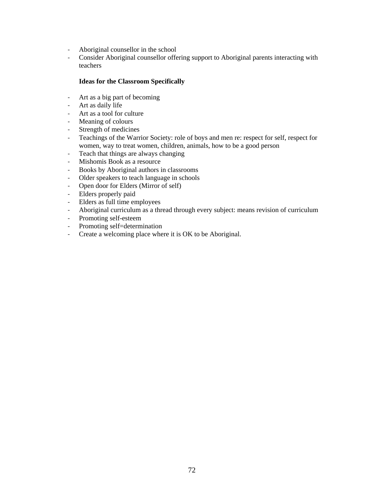- ‐ Aboriginal counsellor in the school
- ‐ Consider Aboriginal counsellor offering support to Aboriginal parents interacting with teachers

#### **Ideas for the Classroom Specifically**

- ‐ Art as a big part of becoming
- ‐ Art as daily life
- ‐ Art as a tool for culture
- ‐ Meaning of colours
- ‐ Strength of medicines
- ‐ Teachings of the Warrior Society: role of boys and men re: respect for self, respect for women, way to treat women, children, animals, how to be a good person
- ‐ Teach that things are always changing
- ‐ Mishomis Book as a resource
- ‐ Books by Aboriginal authors in classrooms
- ‐ Older speakers to teach language in schools
- ‐ Open door for Elders (Mirror of self)
- ‐ Elders properly paid
- ‐ Elders as full time employees
- ‐ Aboriginal curriculum as a thread through every subject: means revision of curriculum
- ‐ Promoting self-esteem
- ‐ Promoting self=determination
- ‐ Create a welcoming place where it is OK to be Aboriginal.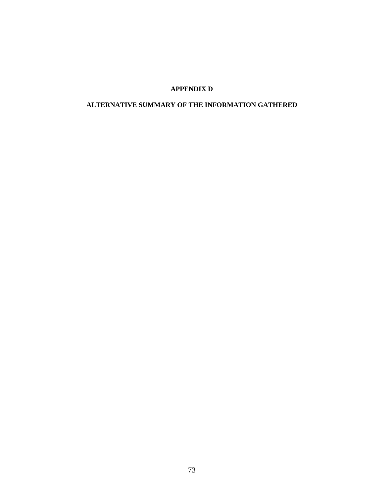## **APPENDIX D**

# **ALTERNATIVE SUMMARY OF THE INFORMATION GATHERED**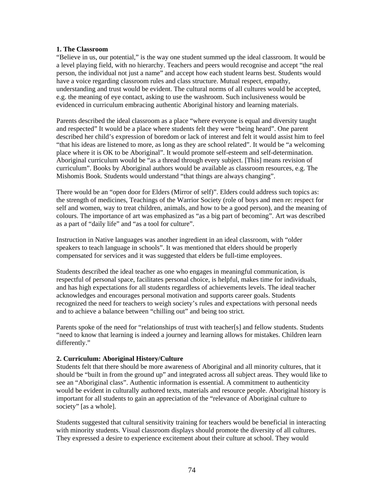#### **1. The Classroom**

"Believe in us, our potential," is the way one student summed up the ideal classroom. It would be a level playing field, with no hierarchy. Teachers and peers would recognise and accept "the real person, the individual not just a name" and accept how each student learns best. Students would have a voice regarding classroom rules and class structure. Mutual respect, empathy, understanding and trust would be evident. The cultural norms of all cultures would be accepted, e.g. the meaning of eye contact, asking to use the washroom. Such inclusiveness would be evidenced in curriculum embracing authentic Aboriginal history and learning materials.

Parents described the ideal classroom as a place "where everyone is equal and diversity taught and respected" It would be a place where students felt they were "being heard". One parent described her child's expression of boredom or lack of interest and felt it would assist him to feel "that his ideas are listened to more, as long as they are school related". It would be "a welcoming place where it is OK to be Aboriginal". It would promote self-esteem and self-determination. Aboriginal curriculum would be "as a thread through every subject. [This] means revision of curriculum". Books by Aboriginal authors would be available as classroom resources, e.g. The Mishomis Book. Students would understand "that things are always changing".

There would be an "open door for Elders (Mirror of self)". Elders could address such topics as: the strength of medicines, Teachings of the Warrior Society (role of boys and men re: respect for self and women, way to treat children, animals, and how to be a good person), and the meaning of colours. The importance of art was emphasized as "as a big part of becoming". Art was described as a part of "daily life" and "as a tool for culture".

Instruction in Native languages was another ingredient in an ideal classroom, with "older speakers to teach language in schools". It was mentioned that elders should be properly compensated for services and it was suggested that elders be full-time employees.

Students described the ideal teacher as one who engages in meaningful communication, is respectful of personal space, facilitates personal choice, is helpful, makes time for individuals, and has high expectations for all students regardless of achievements levels. The ideal teacher acknowledges and encourages personal motivation and supports career goals. Students recognized the need for teachers to weigh society's rules and expectations with personal needs and to achieve a balance between "chilling out" and being too strict.

Parents spoke of the need for "relationships of trust with teacher[s] and fellow students. Students "need to know that learning is indeed a journey and learning allows for mistakes. Children learn differently."

## **2. Curriculum: Aboriginal History/Culture**

Students felt that there should be more awareness of Aboriginal and all minority cultures, that it should be "built in from the ground up" and integrated across all subject areas. They would like to see an "Aboriginal class". Authentic information is essential. A commitment to authenticity would be evident in culturally authored texts, materials and resource people. Aboriginal history is important for all students to gain an appreciation of the "relevance of Aboriginal culture to society" [as a whole].

Students suggested that cultural sensitivity training for teachers would be beneficial in interacting with minority students. Visual classroom displays should promote the diversity of all cultures. They expressed a desire to experience excitement about their culture at school. They would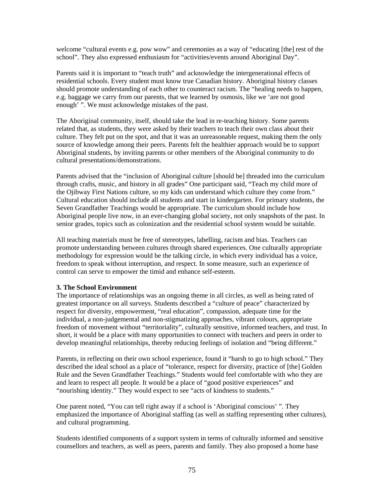welcome "cultural events e.g. pow wow" and ceremonies as a way of "educating [the] rest of the school". They also expressed enthusiasm for "activities/events around Aboriginal Day".

Parents said it is important to "teach truth" and acknowledge the intergenerational effects of residential schools. Every student must know true Canadian history. Aboriginal history classes should promote understanding of each other to counteract racism. The "healing needs to happen, e.g. baggage we carry from our parents, that we learned by osmosis, like we 'are not good enough' ". We must acknowledge mistakes of the past.

The Aboriginal community, itself, should take the lead in re-teaching history. Some parents related that, as students, they were asked by their teachers to teach their own class about their culture. They felt put on the spot, and that it was an unreasonable request, making them the only source of knowledge among their peers. Parents felt the healthier approach would be to support Aboriginal students, by inviting parents or other members of the Aboriginal community to do cultural presentations/demonstrations.

Parents advised that the "inclusion of Aboriginal culture [should be] threaded into the curriculum through crafts, music, and history in all grades" One participant said, "Teach my child more of the Ojibway First Nations culture, so my kids can understand which culture they come from." Cultural education should include all students and start in kindergarten. For primary students, the Seven Grandfather Teachings would be appropriate. The curriculum should include how Aboriginal people live now, in an ever-changing global society, not only snapshots of the past. In senior grades, topics such as colonization and the residential school system would be suitable.

All teaching materials must be free of stereotypes, labelling, racism and bias. Teachers can promote understanding between cultures through shared experiences. One culturally appropriate methodology for expression would be the talking circle, in which every individual has a voice, freedom to speak without interruption, and respect. In some measure, such an experience of control can serve to empower the timid and enhance self-esteem.

## **3. The School Environment**

The importance of relationships was an ongoing theme in all circles, as well as being rated of greatest importance on all surveys. Students described a "culture of peace" characterized by respect for diversity, empowerment, "real education", compassion, adequate time for the individual, a non-judgemental and non-stigmatizing approaches, vibrant colours, appropriate freedom of movement without "territoriality", culturally sensitive, informed teachers, and trust. In short, it would be a place with many opportunities to connect with teachers and peers in order to develop meaningful relationships, thereby reducing feelings of isolation and "being different."

Parents, in reflecting on their own school experience, found it "harsh to go to high school." They described the ideal school as a place of "tolerance, respect for diversity, practice of [the] Golden Rule and the Seven Grandfather Teachings." Students would feel comfortable with who they are and learn to respect all people. It would be a place of "good positive experiences" and "nourishing identity." They would expect to see "acts of kindness to students."

One parent noted, "You can tell right away if a school is 'Aboriginal conscious' ". They emphasized the importance of Aboriginal staffing (as well as staffing representing other cultures), and cultural programming.

Students identified components of a support system in terms of culturally informed and sensitive counsellors and teachers, as well as peers, parents and family. They also proposed a home base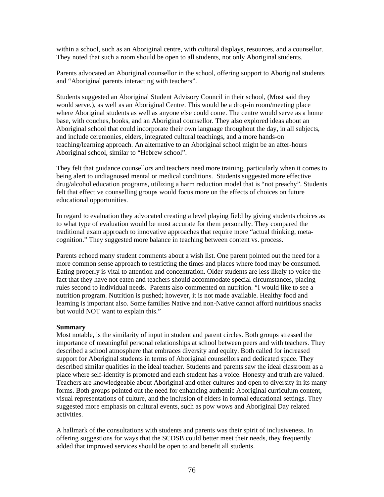within a school, such as an Aboriginal centre, with cultural displays, resources, and a counsellor. They noted that such a room should be open to all students, not only Aboriginal students.

Parents advocated an Aboriginal counsellor in the school, offering support to Aboriginal students and "Aboriginal parents interacting with teachers".

Students suggested an Aboriginal Student Advisory Council in their school, (Most said they would serve.), as well as an Aboriginal Centre. This would be a drop-in room/meeting place where Aboriginal students as well as anyone else could come. The centre would serve as a home base, with couches, books, and an Aboriginal counsellor. They also explored ideas about an Aboriginal school that could incorporate their own language throughout the day, in all subjects, and include ceremonies, elders, integrated cultural teachings, and a more hands-on teaching/learning approach. An alternative to an Aboriginal school might be an after-hours Aboriginal school, similar to "Hebrew school".

They felt that guidance counsellors and teachers need more training, particularly when it comes to being alert to undiagnosed mental or medical conditions. Students suggested more effective drug/alcohol education programs, utilizing a harm reduction model that is "not preachy". Students felt that effective counselling groups would focus more on the effects of choices on future educational opportunities.

In regard to evaluation they advocated creating a level playing field by giving students choices as to what type of evaluation would be most accurate for them personally. They compared the traditional exam approach to innovative approaches that require more "actual thinking, metacognition." They suggested more balance in teaching between content vs. process.

Parents echoed many student comments about a wish list. One parent pointed out the need for a more common sense approach to restricting the times and places where food may be consumed. Eating properly is vital to attention and concentration. Older students are less likely to voice the fact that they have not eaten and teachers should accommodate special circumstances, placing rules second to individual needs. Parents also commented on nutrition. "I would like to see a nutrition program. Nutrition is pushed; however, it is not made available. Healthy food and learning is important also. Some families Native and non-Native cannot afford nutritious snacks but would NOT want to explain this."

#### **Summary**

Most notable, is the similarity of input in student and parent circles. Both groups stressed the importance of meaningful personal relationships at school between peers and with teachers. They described a school atmosphere that embraces diversity and equity. Both called for increased support for Aboriginal students in terms of Aboriginal counsellors and dedicated space. They described similar qualities in the ideal teacher. Students and parents saw the ideal classroom as a place where self-identity is promoted and each student has a voice. Honesty and truth are valued. Teachers are knowledgeable about Aboriginal and other cultures and open to diversity in its many forms. Both groups pointed out the need for enhancing authentic Aboriginal curriculum content, visual representations of culture, and the inclusion of elders in formal educational settings. They suggested more emphasis on cultural events, such as pow wows and Aboriginal Day related activities.

A hallmark of the consultations with students and parents was their spirit of inclusiveness. In offering suggestions for ways that the SCDSB could better meet their needs, they frequently added that improved services should be open to and benefit all students.